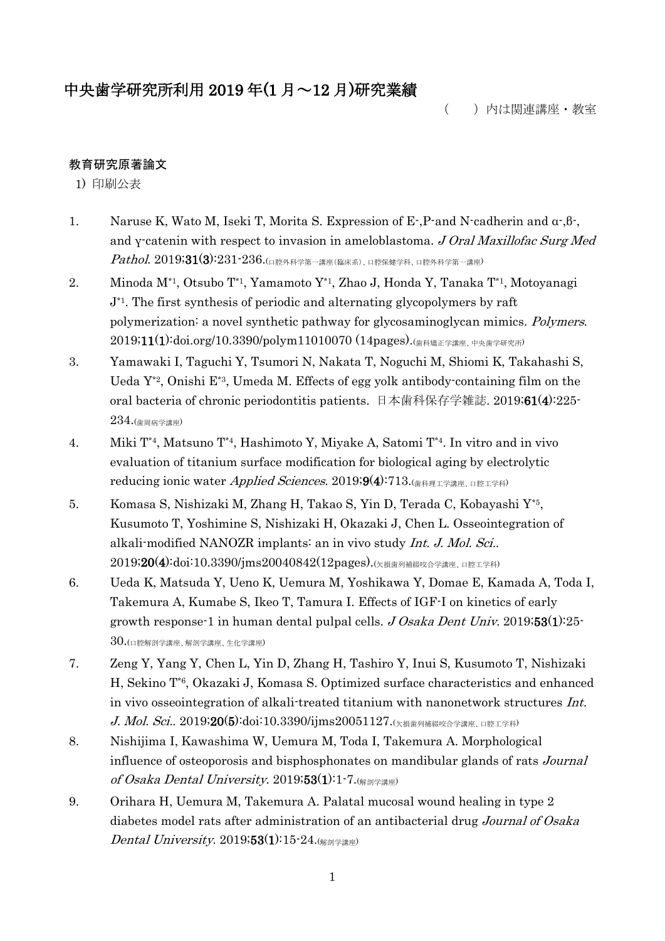# 中央歯学研究所利用 2019 年(1 月~12 月)研究業績

( )内は関連講座・教室

# 教育研究原著論文

1) 印刷公表

- 1. Naruse K, Wato M, Iseki T, Morita S. Expression of E-,P-and N-cadherin and α-,β-, and γ-catenin with respect to invasion in ameloblastoma. J Oral Maxillofac Surg Med  $\it Pathol.~2019;31(3):231$ - $236.$ (口腔外科学第一講座(臨床系)、口腔保健学科、口腔外科学第一講座)
- 2. Minoda M\*1, Otsubo T\*1, Yamamoto Y\*1, Zhao J, Honda Y, Tanaka T\*1, Motoyanagi  $J^*$ <sup>1</sup>. The first synthesis of periodic and alternating glycopolymers by raft polymerization: a novel synthetic pathway for glycosaminoglycan mimics. Polymers. 2019;11(1):doi.org/10.3390/polym11010070 (14pages).(歯科矯正学講座、中央歯学研究所)
- 3. Yamawaki I, Taguchi Y, Tsumori N, Nakata T, Noguchi M, Shiomi K, Takahashi S, Ueda Y\*2, Onishi E\*3, Umeda M. Effects of egg yolk antibody-containing film on the oral bacteria of chronic periodontitis patients. 日本歯科保存学雑誌. 2019;61(4):225- 234.(歯周病学講座)
- 4. Miki T\*4, Matsuno T\*4, Hashimoto Y, Miyake A, Satomi T\*4. In vitro and in vivo evaluation of titanium surface modification for biological aging by electrolytic reducing ionic water *Applied Sciences*. 2019;9(4):713.(<sub>歯科理工学講座、口腔工学科</sub>)
- 5. Komasa S, Nishizaki M, Zhang H, Takao S, Yin D, Terada C, Kobayashi Y\*5 , Kusumoto T, Yoshimine S, Nishizaki H, Okazaki J, Chen L. Osseointegration of alkali-modified NANOZR implants: an in vivo study Int. J. Mol. Sci..  $2019;20(4):$ doi:10.3390/jms20040842(12pages). $($ 欠損歯列補綴咬合学講座、口腔工学科)
- 6. Ueda K, Matsuda Y, Ueno K, Uemura M, Yoshikawa Y, Domae E, Kamada A, Toda I, Takemura A, Kumabe S, Ikeo T, Tamura I. Effects of IGF-I on kinetics of early growth response-1 in human dental pulpal cells.  $J \text{Osaka Dent Unix}$ . 2019;53(1):25- $30.$ (口腔解剖学講座、解剖学講座、生化学講座)
- 7. Zeng Y, Yang Y, Chen L, Yin D, Zhang H, Tashiro Y, Inui S, Kusumoto T, Nishizaki H, Sekino T\*6, Okazaki J, Komasa S. Optimized surface characteristics and enhanced in vivo osseointegration of alkali-treated titanium with nanonetwork structures Int.  $J. \; Mol. \; Sci. \; 2019; 20(5) \cdot \text{doi:10.3390/ijms20051127.}$ (欠損歯列補綴咬合学講座、口腔工学科)
- 8. Nishijima I, Kawashima W, Uemura M, Toda I, Takemura A. Morphological influence of osteoporosis and bisphosphonates on mandibular glands of rats Journal of Osaka Dental University. 2019;53(1):1-7. $\frac{1}{(98.1)}$
- 9. Orihara H, Uemura M, Takemura A. Palatal mucosal wound healing in type 2 diabetes model rats after administration of an antibacterial drug Journal of Osaka Dental University.  $2019;53(1):15-24.$ (解剖学講座)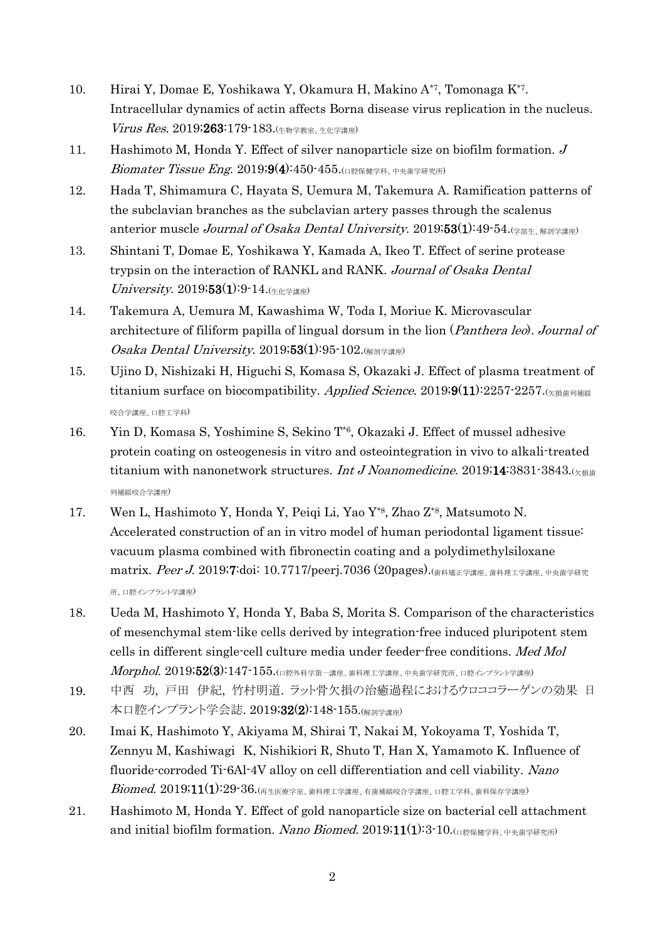- 10. Hirai Y, Domae E, Yoshikawa Y, Okamura H, Makino A<sup>\*7</sup>, Tomonaga K<sup>\*7</sup>. Intracellular dynamics of actin affects Borna disease virus replication in the nucleus. Virus Res. 2019;263:179-183.(生物学教室、生化学講座)
- 11. Hashimoto M, Honda Y. Effect of silver nanoparticle size on biofilm formation. J Biomater Tissue Eng. 2019;9(4):450-455.(口腔保健学科、中央歯学研究所)
- 12. Hada T, Shimamura C, Hayata S, Uemura M, Takemura A. Ramification patterns of the subclavian branches as the subclavian artery passes through the scalenus anterior muscle Journal of Osaka Dental University. 2019;53(1):49-54.(学部生、解剖学講座)
- 13. Shintani T, Domae E, Yoshikawa Y, Kamada A, Ikeo T. Effect of serine protease trypsin on the interaction of RANKL and RANK. Journal of Osaka Dental  $University$ . 2019;53(1):9-14.( $4.44 \times 10^{19}$
- 14. Takemura A, Uemura M, Kawashima W, Toda I, Moriue K. Microvascular architecture of filiform papilla of lingual dorsum in the lion (*Panthera leo*). Journal of Osaka Dental University. 2019;53(1):95-102. $\left(\frac{1}{100}\right)$
- 15. Ujino D, Nishizaki H, Higuchi S, Komasa S, Okazaki J. Effect of plasma treatment of titanium surface on biocompatibility. Applied Science. 2019;9(11):2257-2257. $\left(\chi\right)$ 咬合学講座、口腔工学科)
- 16. Yin D, Komasa S, Yoshimine S, Sekino T\*6, Okazaki J. Effect of mussel adhesive protein coating on osteogenesis in vitro and osteointegration in vivo to alkali-treated titanium with nanonetwork structures. Int J Noanomedicine. 2019;14:3831-3843. $\alpha$ 列補綴咬合学講座)
- 17. Wen L, Hashimoto Y, Honda Y, Peiqi Li, Yao Y<sup>\*8</sup>, Zhao Z<sup>\*8</sup>, Matsumoto N. Accelerated construction of an in vitro model of human periodontal ligament tissue: vacuum plasma combined with fibronectin coating and a polydimethylsiloxane matrix. Peer J. 2019;7:doi: 10.7717/peerj.7036 (20pages).(歯科矯正学講座、歯科理工学講座、中央歯学研究 所、口腔インプラント学講座)
- 18. Ueda M, Hashimoto Y, Honda Y, Baba S, Morita S. Comparison of the characteristics of mesenchymal stem-like cells derived by integration-free induced pluripotent stem cells in different single-cell culture media under feeder-free conditions. Med Mol  $\emph{Morphol.}$   $2019;52(3):147$ - $155.$ (口腔外科学第一講座、歯科理工学講座、中央歯学研究所、口腔インプラント学講座)
- 19. 中西 功, 戸田 伊紀, 竹村明道. ラット骨欠損の治癒過程におけるウロココラーゲンの効果 日 本口腔インプラント学会誌. 2019;32(2):148-155.(解剖学講座)
- 20. Imai K, Hashimoto Y, Akiyama M, Shirai T, Nakai M, Yokoyama T, Yoshida T, Zennyu M, Kashiwagi K, Nishikiori R, Shuto T, Han X, Yamamoto K. Influence of fluoride-corroded Ti-6Al-4V alloy on cell differentiation and cell viability. Nano  $\emph{Biomed.}$   $2019;11(1):29\emph{-}36.$ (再生医療学室、歯科理工学講座、有歯補綴咬合学講座、口腔工学科、歯科保存学講座)
- 21. Hashimoto M, Honda Y. Effect of gold nanoparticle size on bacterial cell attachment and initial biofilm formation. Nano Biomed. 2019;11(1):3-10. $\Box$  ERE ARE THE THE THE SET  $\Box$  and  $\Box$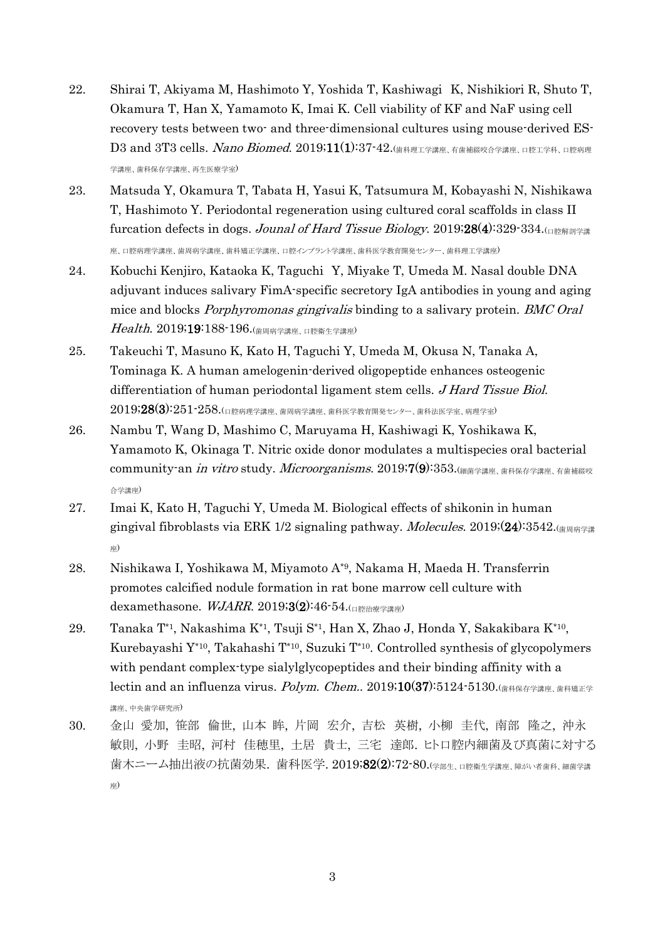- 22. Shirai T, Akiyama M, Hashimoto Y, Yoshida T, Kashiwagi K, Nishikiori R, Shuto T, Okamura T, Han X, Yamamoto K, Imai K. Cell viability of KF and NaF using cell recovery tests between two- and three-dimensional cultures using mouse-derived ES- $D3$  and 3T3 cells. *Nano Biomed*. 2019;11(1):37-42.(歯科理工学講座、有歯補綴咬合学講座、口腔工学科、口腔病理 学講座、歯科保存学講座、再生医療学室)
- 23. Matsuda Y, Okamura T, Tabata H, Yasui K, Tatsumura M, Kobayashi N, Nishikawa T, Hashimoto Y. Periodontal regeneration using cultured coral scaffolds in class II furcation defects in dogs. Jounal of Hard Tissue Biology. 2019;28(4):329-334. 座、口腔病理学講座、歯周病学講座、歯科矯正学講座、口腔インプラント学講座、歯科医学教育開発センター、歯科理工学講座)
- 24. Kobuchi Kenjiro, Kataoka K, Taguchi Y, Miyake T, Umeda M. Nasal double DNA adjuvant induces salivary FimA-specific secretory IgA antibodies in young and aging mice and blocks *Porphyromonas gingivalis* binding to a salivary protein. *BMC Oral* Health. 2019;19:188-196.(歯周病学講座、口腔衛生学講座)
- 25. Takeuchi T, Masuno K, Kato H, Taguchi Y, Umeda M, Okusa N, Tanaka A, Tominaga K. A human amelogenin-derived oligopeptide enhances osteogenic differentiation of human periodontal ligament stem cells. *J Hard Tissue Biol*.  $2019;28(3):251$ - $258$ .(口腔病理学講座、歯周病学講座、歯科医学教育開発センター、歯科法医学室、病理学室)
- 26. Nambu T, Wang D, Mashimo C, Maruyama H, Kashiwagi K, Yoshikawa K, Yamamoto K, Okinaga T. Nitric oxide donor modulates a multispecies oral bacterial community-an *in vitro* study. *Microorganisms.* 2019;7(9):353. (細菌学講座、歯科保存学講座、有歯補綴咬 合学講座)
- 27. Imai K, Kato H, Taguchi Y, Umeda M. Biological effects of shikonin in human gingival fibroblasts via ERK 1/2 signaling pathway. *Molecules*. 2019; $(24)$ :3542. $\left(\frac{18}{18}\right)$ 座)
- 28. Nishikawa I, Yoshikawa M, Miyamoto A\*9 , Nakama H, Maeda H. Transferrin promotes calcified nodule formation in rat bone marrow cell culture with dexamethasone.  $WJARR. 2019;3(2):46.54.$
- 29. Tanaka T\*1, Nakashima K\*1, Tsuji S\*1, Han X, Zhao J, Honda Y, Sakakibara K\*10 , Kurebayashi Y\*10 , Takahashi T\*10 , Suzuki T\*10 . Controlled synthesis of glycopolymers with pendant complex-type sialylglycopeptides and their binding affinity with a lectin and an influenza virus.  $Polym$ . Chem.. 2019;10(37):5124-5130. $\frac{1}{(\frac{1}{2} + \frac{1}{2})^{\frac{1}{2}}}$ 講座、中央歯学研究所)
- 30. 金山 愛加, 笹部 倫世, 山本 眸, 片岡 宏介, 吉松 英樹, 小柳 圭代, 南部 隆之, 沖永 敏則, 小野 圭昭, 河村 佳穂里, 土居 貴士, 三宅 達郎. ヒト口腔内細菌及び真菌に対する 歯木ニーム抽出液の抗菌効果. 歯科医学. 2019;82(2):72-80.(学部生、口腔衛生学講座、障がい者歯科、細菌学講 座)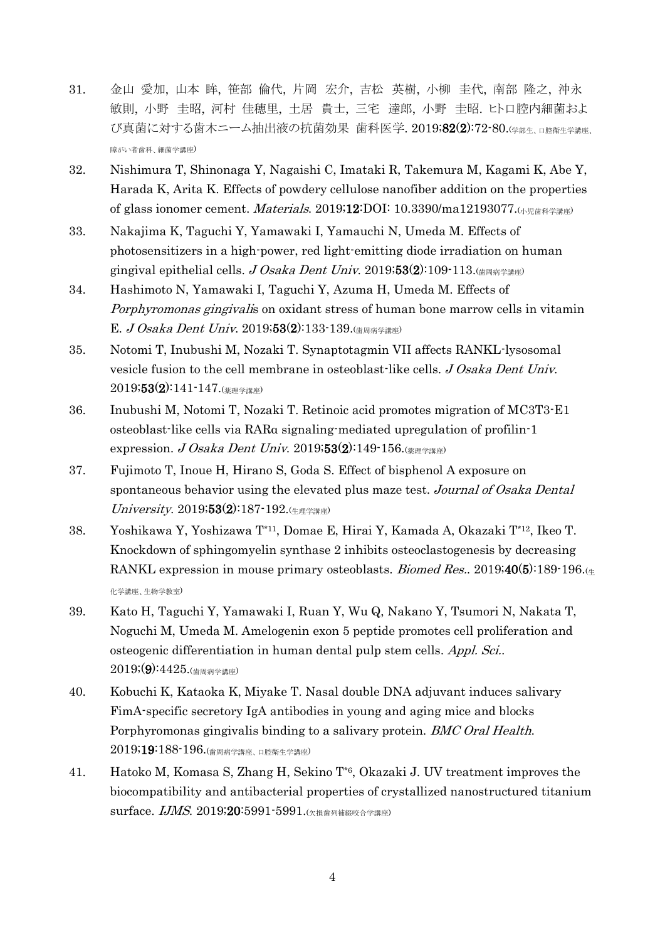- 31. 金山 愛加, 山本 眸, 笹部 倫代, 片岡 宏介, 吉松 英樹, 小柳 圭代, 南部 隆之, 沖永 敏則, 小野 圭昭, 河村 佳穂里, 土居 貴士, 三宅 達郎, 小野 圭昭. ヒト口腔内細菌およ び真菌に対する歯木ニーム抽出液の抗菌効果 歯科医学. 2019;82(2):72-80.(学部生、口腔衛生学講座、 障がい者歯科、細菌学講座)
- 32. Nishimura T, Shinonaga Y, Nagaishi C, Imataki R, Takemura M, Kagami K, Abe Y, Harada K, Arita K. Effects of powdery cellulose nanofiber addition on the properties of glass ionomer cement. Materials. 2019;12:DOI: 10.3390/ma12193077.(小児歯科学講座)
- 33. Nakajima K, Taguchi Y, Yamawaki I, Yamauchi N, Umeda M. Effects of photosensitizers in a high-power, red light-emitting diode irradiation on human gingival epithelial cells. J Osaka Dent Univ. 2019;53(2):109-113.
- 34. Hashimoto N, Yamawaki I, Taguchi Y, Azuma H, Umeda M. Effects of Porphyromonas gingivalis on oxidant stress of human bone marrow cells in vitamin E. J Osaka Dent Univ. 2019;53(2):133-139.(<sub>歯周病学講座</sub>)
- 35. Notomi T, Inubushi M, Nozaki T. Synaptotagmin VII affects RANKL-lysosomal vesicle fusion to the cell membrane in osteoblast-like cells. J Osaka Dent Univ.  $2019;53(2):141-147$ .(薬理学講座)
- 36. Inubushi M, Notomi T, Nozaki T. Retinoic acid promotes migration of MC3T3-E1 osteoblast-like cells via RARα signaling-mediated upregulation of profilin-1 expression. J Osaka Dent Univ. 2019;53(2):149-156. $\left(\frac{1}{2}\right)$
- 37. Fujimoto T, Inoue H, Hirano S, Goda S. Effect of bisphenol A exposure on spontaneous behavior using the elevated plus maze test. Journal of Osaka Dental  $University$ . 2019;53(2):187-192. ( $\#$  $#$  $\#$  $\#$
- 38. Yoshikawa Y, Yoshizawa T\*11 , Domae E, Hirai Y, Kamada A, Okazaki T\*12 , Ikeo T. Knockdown of sphingomyelin synthase 2 inhibits osteoclastogenesis by decreasing RANKL expression in mouse primary osteoblasts. *Biomed Res.*. 2019;40(5):189-196. $\left( \varepsilon \right)$ 化学講座、生物学教室)
- 39. Kato H, Taguchi Y, Yamawaki I, Ruan Y, Wu Q, Nakano Y, Tsumori N, Nakata T, Noguchi M, Umeda M. Amelogenin exon 5 peptide promotes cell proliferation and osteogenic differentiation in human dental pulp stem cells. Appl. Sci..  $2019(9):4425.$ (歯周病学講座)
- 40. Kobuchi K, Kataoka K, Miyake T. Nasal double DNA adjuvant induces salivary FimA-specific secretory IgA antibodies in young and aging mice and blocks Porphyromonas gingivalis binding to a salivary protein. *BMC Oral Health*. 2019;19:188-196.(歯周病学講座、口腔衛生学講座)
- 41. Hatoko M, Komasa S, Zhang H, Sekino T\*6, Okazaki J. UV treatment improves the biocompatibility and antibacterial properties of crystallized nanostructured titanium surface.  $I$ JMS. 2019;20:5991-5991. $\left( \frac{\chi_{\text{max}}}{\chi_{\text{max}}} \right)$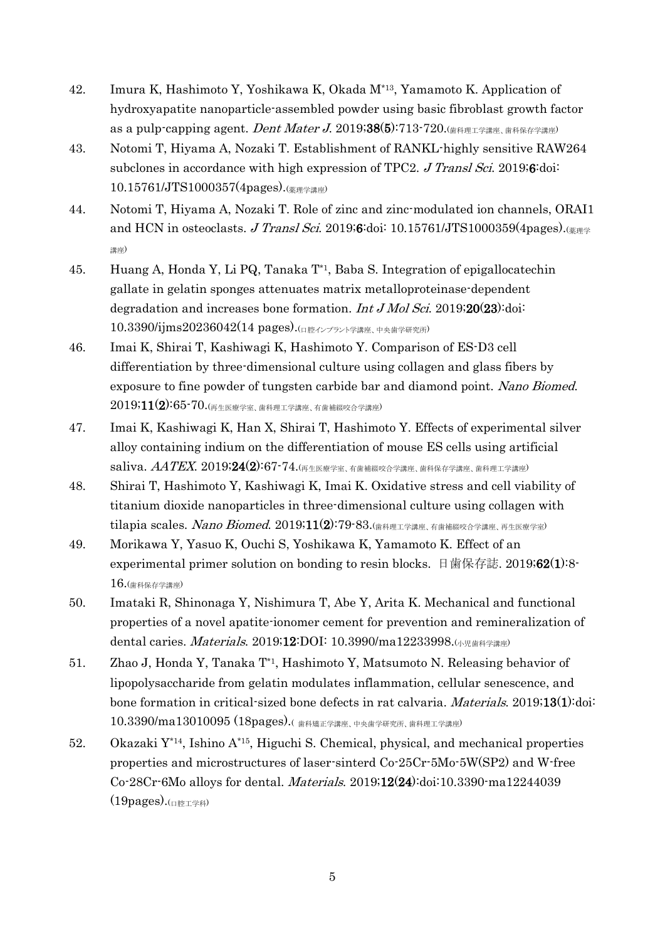- 42. Imura K, Hashimoto Y, Yoshikawa K, Okada M\*13, Yamamoto K. Application of hydroxyapatite nanoparticle-assembled powder using basic fibroblast growth factor as a pulp-capping agent. Dent Mater J. 2019;38(5):713-720. $\left($ 歯科理工学講座, 歯科保存学講座
- 43. Notomi T, Hiyama A, Nozaki T. Establishment of RANKL-highly sensitive RAW264 subclones in accordance with high expression of TPC2. J Transl Sci. 2019;6:doi: 10.15761/JTS1000357(4pages).(薬理学講座)
- 44. Notomi T, Hiyama A, Nozaki T. Role of zinc and zinc-modulated ion channels, ORAI1 and HCN in osteoclasts. J Transl Sci. 2019;6:doi: 10.15761/JTS1000359(4pages). $\frac{1}{2}$ 講座)
- 45. Huang A, Honda Y, Li PQ, Tanaka T\*1, Baba S. Integration of epigallocatechin gallate in gelatin sponges attenuates matrix metalloproteinase-dependent degradation and increases bone formation. *Int J Mol Sci.* 2019;20(23): doi: 10.3390/ijms20236042(14 pages).(口腔インプラント学講座、中央歯学研究所)
- 46. Imai K, Shirai T, Kashiwagi K, Hashimoto Y. Comparison of ES-D3 cell differentiation by three-dimensional culture using collagen and glass fibers by exposure to fine powder of tungsten carbide bar and diamond point. Nano Biomed.  $2019;11(2)\,65$ - $70.$ (再生医療学室、歯科理工学講座、有歯補綴咬合学講座)
- 47. Imai K, Kashiwagi K, Han X, Shirai T, Hashimoto Y. Effects of experimental silver alloy containing indium on the differentiation of mouse ES cells using artificial  $\mathrm{saliva.}\ \mathit{AA}\mathit{TEX.}\ 2019\text{:}24(2)\text{:}67\text{-}74.$ (再生医療学室、有歯補綴咬合学講座、歯科保存学講座、歯科理工学講座)
- 48. Shirai T, Hashimoto Y, Kashiwagi K, Imai K. Oxidative stress and cell viability of titanium dioxide nanoparticles in three-dimensional culture using collagen with tilapia scales. Nano Biomed. 2019;11(2):79-83.(歯科理工学講座、有歯補綴咬合学講座、再生医療学室)
- 49. Morikawa Y, Yasuo K, Ouchi S, Yoshikawa K, Yamamoto K. Effect of an experimental primer solution on bonding to resin blocks. 日歯保存誌. 2019;62(1):8-16.(歯科保存学講座)
- 50. Imataki R, Shinonaga Y, Nishimura T, Abe Y, Arita K. Mechanical and functional properties of a novel apatite-ionomer cement for prevention and remineralization of dental caries. *Materials.* 2019;12:DOI: 10.3990/ma12233998.(小児歯科学講座)
- 51. Zhao J, Honda Y, Tanaka T\*1, Hashimoto Y, Matsumoto N. Releasing behavior of lipopolysaccharide from gelatin modulates inflammation, cellular senescence, and bone formation in critical-sized bone defects in rat calvaria. Materials. 2019;13(1):doi: 10.3390/ma13010095 (18pages).( 歯科矯正学講座、中央歯学研究所、歯科理工学講座)
- 52. Okazaki  $Y^{*14}$ , Ishino  $A^{*15}$ , Higuchi S. Chemical, physical, and mechanical properties properties and microstructures of laser-sinterd Co-25Cr-5Mo-5W(SP2) and W-free Co-28Cr-6Mo alloys for dental. Materials. 2019;12(24):doi:10.3390-ma12244039  $(19$ pages). $(nP+1)$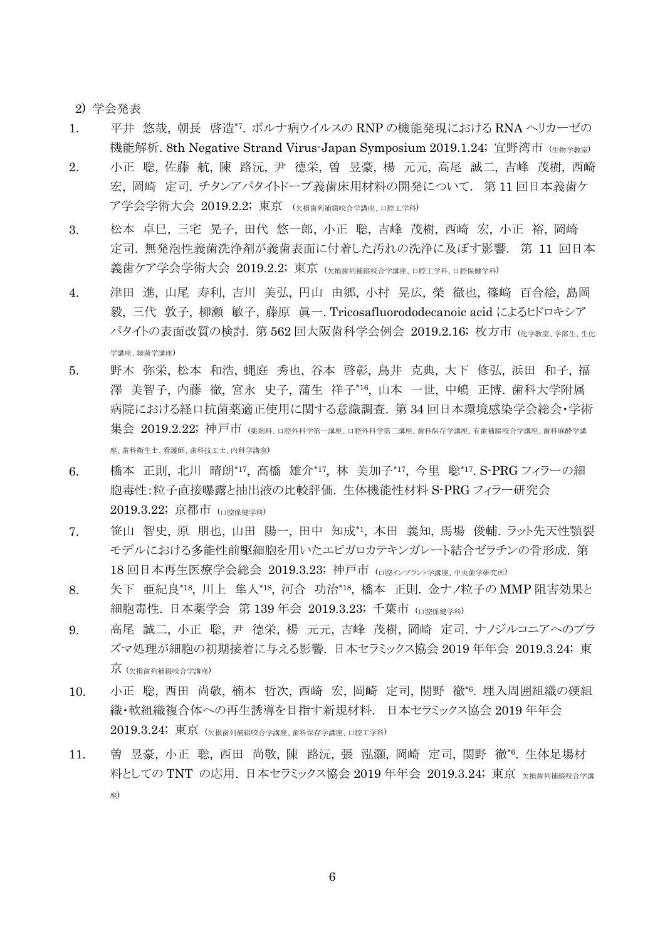2) 学会発表

- 1. 平井 悠哉, 朝長 啓造\*7 . ボルナ病ウイルスの RNP の機能発現における RNA ヘリカーゼの 機能解析. 8th Negative Strand Virus-Japan Symposium 2019.1.24; 宜野湾市 (牛物学教室)
- 2. 小正 聡, 佐藤 航, 陳 路沅, 尹 德栄, 曽 昱豪, 楊 元元, 高尾 誠二, 吉峰 茂樹, 西崎 宏, 岡崎 定司. チタンアパタイトドープ義歯床用材料の開発について. 第 11 回日本義歯ケ ア学会学術大会 2019.2.2; 東京 (欠損歯列補綴咬合学講座、口腔工学科)
- 3. 松本 卓巳, 三宅 晃子, 田代 悠一郎, 小正 聡, 吉峰 茂樹, 西崎 宏, 小正 裕, 岡崎 定司. 無発泡性義歯洗浄剤が義歯表面に付着した汚れの洗浄に及ぼす影響. 第 11 回日本 義歯ケア学会学術大会 2019.2.2; 東京 (欠損歯列補綴咬合学講座、口腔工学科、口腔保健学科)
- 4. 津田 進, 山尾 寿利, 吉川 美弘, 円山 由郷, 小村 晃広, 榮 徹也, 篠﨑 百合絵, 島岡 毅, 三代 敦子, 柳瀬 敏子, 藤原 眞一. Tricosafluorododecanoic acid によるヒドロキシア パタイトの表面改質の検討. 第 562 回大阪歯科学会例会 2019.2.16; 枚方市 (K学教室、学部生、生化 学講座、細菌学講座)
- 5. 野木 弥栄, 松本 和浩, 蝿庭 秀也, 谷本 啓彰, 鳥井 克典, 大下 修弘, 浜田 和子, 福 澤 美智子, 内藤 徹, 宮永 史子, 蒲生 祥子\*16, 山本 一世, 中嶋 正博. 歯科大学附属 病院における経口抗菌薬適正使用に関する意識調査. 第 34 回日本環境感染学会総会・学術 集会 2019.2.22; 神戸市 (薬剤科、口腔外科学第一講座、口腔外科学第二講座、歯科保存学講座、有歯補綴咬合学講座、歯科麻酔学講 座、歯科衛生士、看護師、歯科技工士、内科学講座)
- 6. 橋本 正則, 北川 晴朗\*17, 高橋 雄介\*17, 林 美加子\*17, 今里 聡\*17. S-PRG フィラーの細 胞毒性:粒子直接曝露と抽出液の比較評価. 生体機能性材料 S-PRG フィラー研究会 2019.3.22; 京都市 (口腔保健学科)
- 7. 笹山 智史, 原 朋也, 山田 陽一, 田中 知成\*1 , 本田 義知, 馬場 俊輔. ラット先天性顎裂 モデルにおける多能性前駆細胞を用いたエピガロカテキンガレート結合ゼラチンの骨形成. 第 18 回日本再生医療学会総会 2019.3.23; 神戸市 (ロ腔インプラント学講座、中央歯学研究所)
- 8. 失下 亜紀良\*18, 川上 隼人\*18, 河合 功治\*18, 橋本 正則. 金ナノ粒子の MMP 阻害効果と 細胞毒性. 日本薬学会 第 139 年会 2019.3.23; 千葉市 (ロ腔保健学科)
- 9. 高尾 誠二, 小正 聡, 尹 德栄, 楊 元元, 吉峰 茂樹, 岡崎 定司. ナノジルコニアへのプラ ズマ処理が細胞の初期接着に与える影響. 日本セラミックス協会 2019 年年会 2019.3.24; 東 京 (欠損歯列補綴咬合学講座)
- 10. 小正 聡, 西田 尚敬, 楠本 哲次, 西崎 宏, 岡崎 定司, 関野 徹\*6 . 埋入周囲組織の硬組 織・軟組織複合体への再生誘導を目指す新規材料. 日本セラミックス協会 2019 年年会  $2019.3.24$ ; 東京 (欠損歯列補綴咬合学講座、歯科保存学講座、口腔工学科)
- 11. 曽 昱豪, 小正 聡, 西田 尚敬, 陳 路沅, 張 泓灝, 岡崎 定司, 関野 徹\*6 . 生体足場材 料としての TNT の応用. 日本セラミックス協会 2019 年年会 2019.3.24; 東京 欠損歯列補綴咬合学講 座)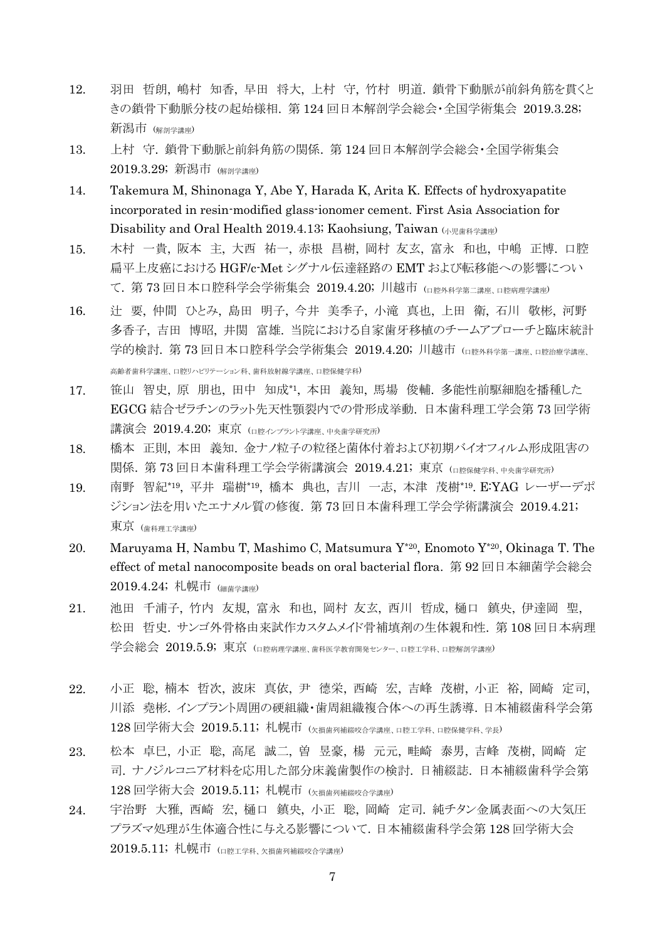- 12. 羽田 哲朗, 嶋村 知香, 早田 将大, 上村 守, 竹村 明道. 鎖骨下動脈が前斜角筋を貫くと きの鎖骨下動脈分枝の起始様相. 第 124 回日本解剖学会総会・全国学術集会 2019.3.28; 新潟市 (解剖学講座)
- 13. 上村 守. 鎖骨下動脈と前斜角筋の関係. 第 124 回日本解剖学会総会・全国学術集会 2019.3.29; 新潟市 (解剖学講座)
- 14. Takemura M, Shinonaga Y, Abe Y, Harada K, Arita K. Effects of hydroxyapatite incorporated in resin-modified glass-ionomer cement. First Asia Association for Disability and Oral Health 2019.4.13; Kaohsiung, Taiwan (小児歯科学講座)
- 15. 木村 一貴, 阪本 主, 大西 祐一, 赤根 昌樹, 岡村 友玄, 富永 和也, 中嶋 正博. 口腔 扁平上皮癌における HGF/c-Met シグナル伝達経路の EMT および転移能への影響につい て.第 73 回日本口腔科学会学術集会 2019.4.20; 川越市 (ロ腔外科学第二講座、ロ腔病理学講座)
- 16. 辻 要, 仲間 ひとみ, 島田 明子, 今井 美季子, 小滝 真也, 上田 衛, 石川 敬彬, 河野 多香子, 吉田 博昭, 井関 富雄. 当院における自家歯牙移植のチームアプローチと臨床統計 学的検討. 第 73 回日本口腔科学会学術集会 2019.4.20; 川越市 (ロ腔外科学第一講座 ロ腔治療学講座 高齢者歯科学講座、口腔リハビリテーション科、歯科放射線学講座、口腔保健学科)
- 17. 笹山 智史, 原 朋也, 田中 知成\*1 , 本田 義知, 馬場 俊輔. 多能性前駆細胞を播種した EGCG 結合ゼラチンのラット先天性顎裂内での骨形成挙動. 日本歯科理工学会第 73 回学術 講演会 2019.4.20; 東京 (口腔インプラント学講座、中央歯学研究所)
- 18. 橋本 正則, 本田 義知. 金ナノ粒子の粒径と菌体付着および初期バイオフィルム形成阻害の 関係. 第 73 回日本歯科理工学会学術講演会 2019.4.21; 東京 (口腔保健学科、中央歯学研究所)
- 19. 南野 智紀\*19 , 平井 瑞樹\*19 , 橋本 典也, 吉川 一志, 本津 茂樹\*19. E:YAG レーザーデポ ジション法を用いたエナメル質の修復. 第 73 回日本歯科理工学会学術講演会 2019.4.21; 東京 (歯科理工学講座)
- 20. Maruyama H, Nambu T, Mashimo C, Matsumura Y\*20 , Enomoto Y\*20 , Okinaga T. The effect of metal nanocomposite beads on oral bacterial flora. 第 92 回日本細菌学会総会 2019.4.24; 札幌市 (細菌学講座)
- 21. 池田 千浦子, 竹内 友規, 富永 和也, 岡村 友玄, 西川 哲成, 樋口 鎮央, 伊達岡 聖, 松田 哲史. サンゴ外骨格由来試作カスタムメイド骨補填剤の生体親和性. 第 108 回日本病理 学会総会 2019.5.9;東京 (口腔病理学講座、歯科医学教育開発センター、口腔工学科、口腔解剖学講座)
- 22. 小正 聡, 楠本 哲次, 波床 真依, 尹 德栄, 西崎 宏, 吉峰 茂樹, 小正 裕, 岡崎 定司, 川添 堯彬. インプラント周囲の硬組織・歯周組織複合体への再生誘導.日本補綴歯科学会第 128 回学術大会 2019.5.11; 札幌市 (欠損歯列補綴咬合学講座、口腔工学科、口腔保健学科、学長)
- 23. 松本 卓巳, 小正 聡, 高尾 誠二, 曽 昱豪, 楊 元元, 畦崎 泰男, 吉峰 茂樹, 岡崎 定 司. ナノジルコニア材料を応用した部分床義歯製作の検討. 日補綴誌. 日本補綴歯科学会第 128 回学術大会 2019.5.11; 札幌市 (欠損歯列補綴咬合学講座)
- 24. 宇治野 大雅, 西崎 宏, 樋口 鎮央, 小正 聡, 岡崎 定司. 純チタン金属表面への大気圧 プラズマ処理が生体適合性に与える影響について.日本補綴歯科学会第 128 回学術大会 2019.5.11; 札幌市 (口腔工学科、欠損歯列補綴咬合学講座)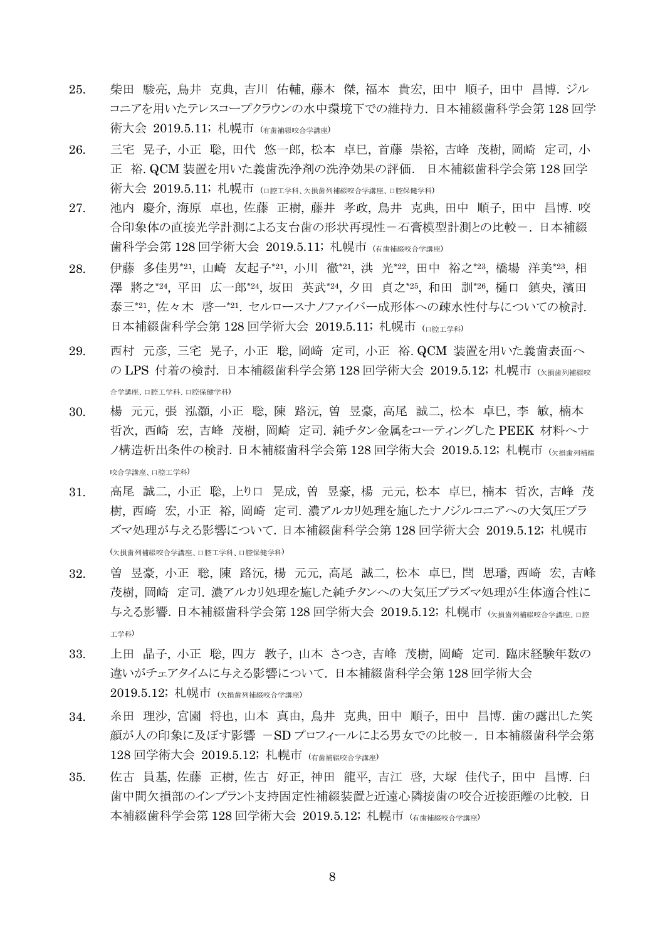- 25. 柴田 駿亮, 鳥井 克典, 吉川 佑輔, 藤木 傑, 福本 貴宏, 田中 順子, 田中 昌博. ジル コニアを用いたテレスコープクラウンの水中環境下での維持力. 日本補綴歯科学会第 128 回学 術大会 2019.5.11; 札幌市 (有歯補綴咬合学講座)
- 26. 三宅 晃子, 小正 聡, 田代 悠一郎, 松本 卓巳, 首藤 崇裕, 吉峰 茂樹, 岡崎 定司, 小 正 裕. QCM 装置を用いた義歯洗浄剤の洗浄効果の評価. 日本補綴歯科学会第 128 回学 術大会 2019.5.11; 札幌市 (口腔工学科、欠損歯列補綴咬合学講座、口腔保健学科)
- 27. 池内 慶介, 海原 卓也, 佐藤 正樹, 藤井 孝政, 鳥井 克典, 田中 順子, 田中 昌博. 咬 合印象体の直接光学計測による支台歯の形状再現性ー石膏模型計測との比較ー、日本補綴 歯科学会第 128 回学術大会 2019.5.11; 札幌市 (有歯補綴咬合学講座)
- 28. 伊藤 多佳男\*21, 山崎 友起子\*21, 小川 徹\*21, 洪 光\*22, 田中 裕之\*23, 橋場 洋美\*23, 相 澤 將之\*24, 平田 広一郎\*24, 坂田 英武\*24, 夕田 貞之\*25, 和田 訓\*26, 樋口 鎮央, 濱田 泰三\*21, 佐々木 啓一\*21. セルロースナノファイバー成形体への疎水性付与についての検討. 日本補綴歯科学会第 128 回学術大会 2019.5.11; 札幌市 (ロ腔工学科)
- 29. 西村 元彦, 三宅 晃子, 小正 聡, 岡崎 定司, 小正 裕. QCM 装置を用いた義歯表面へ の LPS 付着の検討. 日本補綴歯科学会第 128 回学術大会 2019.5.12; 札幌市 (x指歯列補経咬 合学講座、口腔工学科、口腔保健学科)
- 30. 楊 元元, 張 泓灝, 小正 聡, 陳 路沅, 曽 昱豪, 高尾 誠二, 松本 卓巳, 李 敏, 楠本 哲次, 西崎 宏, 吉峰 茂樹, 岡崎 定司. 純チタン金属をコーティングした PEEK 材料へナ ノ構造析出条件の検討.日本補綴歯科学会第 128 回学術大会 2019.5.12; 札幌市 (欠損歯列補綴 咬合学講座、口腔工学科)
- 31. 高尾 誠二, 小正 聡, 上り口 晃成, 曽 昱豪, 楊 元元, 松本 卓巳, 楠本 哲次, 吉峰 茂 樹, 西崎 宏, 小正 裕, 岡崎 定司. 濃アルカリ処理を施したナノジルコニアへの大気圧プラ ズマ処理が与える影響について.日本補綴歯科学会第 128 回学術大会 2019.5.12; 札幌市 (欠損歯列補綴咬合学講座、口腔工学科、口腔保健学科)
- 32. 曽 昱豪, 小正 聡, 陳 路沅, 楊 元元, 高尾 誠二, 松本 卓巳, 閆 思璠, 西崎 宏, 吉峰 茂樹, 岡崎 定司. 濃アルカリ処理を施した純チタンへの大気圧プラズマ処理が生体適合性に 与える影響. 日本補綴歯科学会第 128 回学術大会 2019.5.12; 札幌市 (K損歯列補綴咬合学講座 ロ腔 工学科)
- 33. 上田 晶子, 小正 聡, 四方 教子, 山本 さつき, 吉峰 茂樹, 岡崎 定司. 臨床経験年数の 違いがチェアタイムに与える影響について. 日本補綴歯科学会第 128 回学術大会  $2019.5.12$ ; 札幌市 (<sub>欠損歯列補綴咬合学講座)</sub>
- 34. 糸田 理沙, 宮園 将也, 山本 真由, 鳥井 克典, 田中 順子, 田中 昌博. 歯の露出した笑 顔が人の印象に及ぼす影響 -SD プロフィールによる男女での比較-. 日本補綴歯科学会第 128 回学術大会 2019.5.12; 札幌市 (有歯補綴咬合学講座)
- 35. 佐古 員基, 佐藤 正樹, 佐古 好正, 神田 龍平, 吉江 啓, 大塚 佳代子, 田中 昌博. 臼 歯中間欠損部のインプラント支持固定性補綴装置と近遠心隣接歯の咬合近接距離の比較. 日 本補綴歯科学会第 128 回学術大会 2019.5.12; 札幌市 (右歯神經咬合学講座)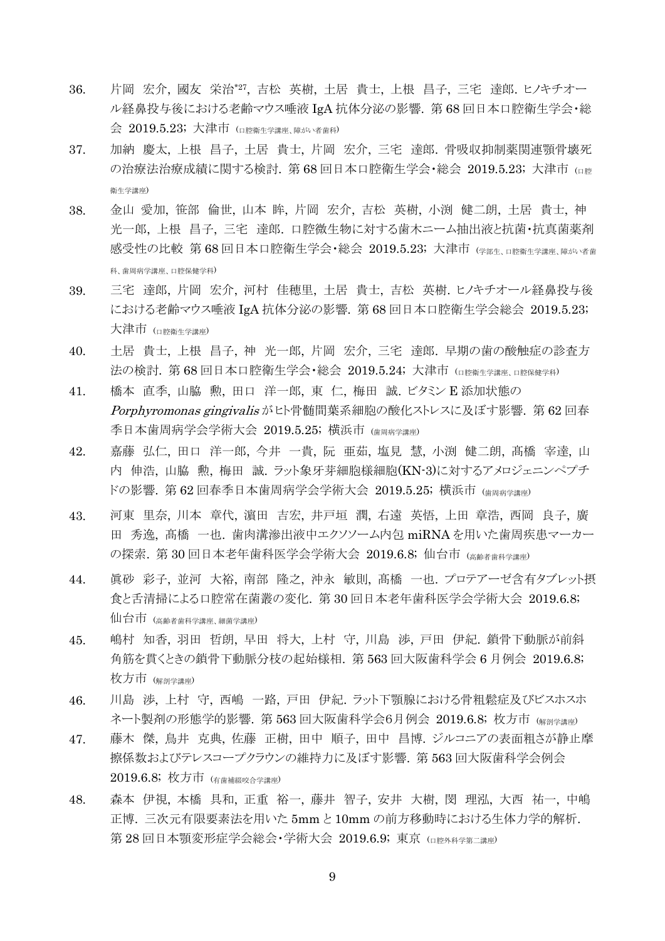- 36. 片岡 宏介, 國友 栄治\*27 , 吉松 英樹, 土居 貴士, 上根 昌子, 三宅 達郎. ヒノキチオー ル経鼻投与後における老齢マウス唾液 IgA 抗体分泌の影響. 第 68 回日本口腔衛生学会・総 会 2019.5.23; 大津市 (口腔衛生学講座、障がい者歯科)
- 37. 加納 慶太, 上根 昌子, 土居 貴士, 片岡 宏介, 三宅 達郎. 骨吸収抑制薬関連顎骨壊死 の治療法治療成績に関する検討. 第68回日本口腔衛生学会・総会 2019.5.23; 大津市 (□me 衛生学講座)
- 38. 金山 愛加, 笹部 倫世, 山本 眸, 片岡 宏介, 吉松 英樹, 小渕 健二朗, 土居 貴士, 神 光一郎, 上根 昌子, 三宅 達郎. 口腔微生物に対する歯木ニーム抽出液と抗菌・抗真菌薬剤 感受性の比較 第 68 回日本口腔衛生学会・総会 2019.5.23; 大津市 (学部生、口腔衛生学講座、障がい者歯 科、歯周病学講座、口腔保健学科)
- 39. 三宅 達郎, 片岡 宏介, 河村 佳穂里, 土居 貴士, 吉松 英樹. ヒノキチオール経鼻投与後 における老齢マウス唾液 IgA 抗体分泌の影響. 第 68 回日本口腔衛生学会総会 2019.5.23; 大津市 (口腔衛生学講座)
- 40. 土居 貴士, 上根 昌子, 神 光一郎, 片岡 宏介, 三宅 達郎. 早期の歯の酸触症の診査方 法の検討. 第 68 回日本口腔衛生学会・総会 2019.5.24; 大津市 (ロ腔衛生学講座、ロ腔保健学科)
- 41. 橋本 直季, 山脇 勲, 田口 洋一郎, 東 仁, 梅田 誠. ビタミン E 添加状態の Porphyromonas gingivalis がヒト骨髄間葉系細胞の酸化ストレスに及ぼす影響. 第 62 回春 季日本歯周病学会学術大会 2019.5.25; 横浜市 (歯周病学講座)
- 42. 嘉藤 弘仁, 田口 洋一郎, 今井 一貴, 阮 亜茹, 塩見 慧, 小渕 健二朗, 髙橋 宰達, 山 内 伸浩, 山脇 勲, 梅田 誠. ラット象牙芽細胞様細胞(KN-3)に対するアメロジェニンペプチ ドの影響. 第62回春季日本歯周病学会学術大会 2019.5.25; 横浜市 (歯周病学講座)
- 43. 河東 里奈, 川本 章代, 濵田 吉宏, 井戸垣 潤, 右遠 英悟, 上田 章浩, 西岡 良子, 廣 田 秀逸, 髙橋 一也. 歯肉溝滲出液中エクソソーム内包 miRNA を用いた歯周疾患マーカー の探索. 第30回日本老年歯科医学会学術大会 2019.6.8; 仙台市 (高齢者歯科学講座)
- 44. 眞砂 彩子, 並河 大裕, 南部 隆之, 沖永 敏則, 髙橋 一也. プロテアーゼ含有タブレット摂 食と舌清掃による口腔常在菌叢の変化. 第 30 回日本老年歯科医学会学術大会 2019.6.8; 仙台市 (高齢者歯科学講座、細菌学講座)
- 45. 嶋村 知香, 羽田 哲朗, 早田 将大, 上村 守, 川島 渉, 戸田 伊紀. 鎖骨下動脈が前斜 角筋を貫くときの鎖骨下動脈分枝の起始様相. 第 563 回大阪歯科学会 6 月例会 2019.6.8; 枚方市 (解剖学講座)
- 46. 川島 渉, 上村 守, 西嶋 一路, 戸田 伊紀. ラット下顎腺における骨粗鬆症及びビスホスホ ネート製剤の形態学的影響. 第 563 回大阪歯科学会6月例会 2019.6.8; 枚方市 (解剖学講座)
- 47. 藤木 傑, 鳥井 克典, 佐藤 正樹, 田中 順子, 田中 昌博. ジルコニアの表面粗さが静止摩 擦係数およびテレスコープクラウンの維持力に及ぼす影響. 第 563 回大阪歯科学会例会 2019.6.8; 枚方市 (有歯補綴咬合学講座)
- 48. 森本 伊視, 本橋 具和, 正重 裕一, 藤井 智子, 安井 大樹, 閔 理泓, 大西 祐一, 中嶋 正博. 三次元有限要素法を用いた 5mm と 10mm の前方移動時における生体力学的解析. 第 28 回日本顎変形症学会総会·学術大会 2019.6.9; 東京 (ロ腔外科学第二講座)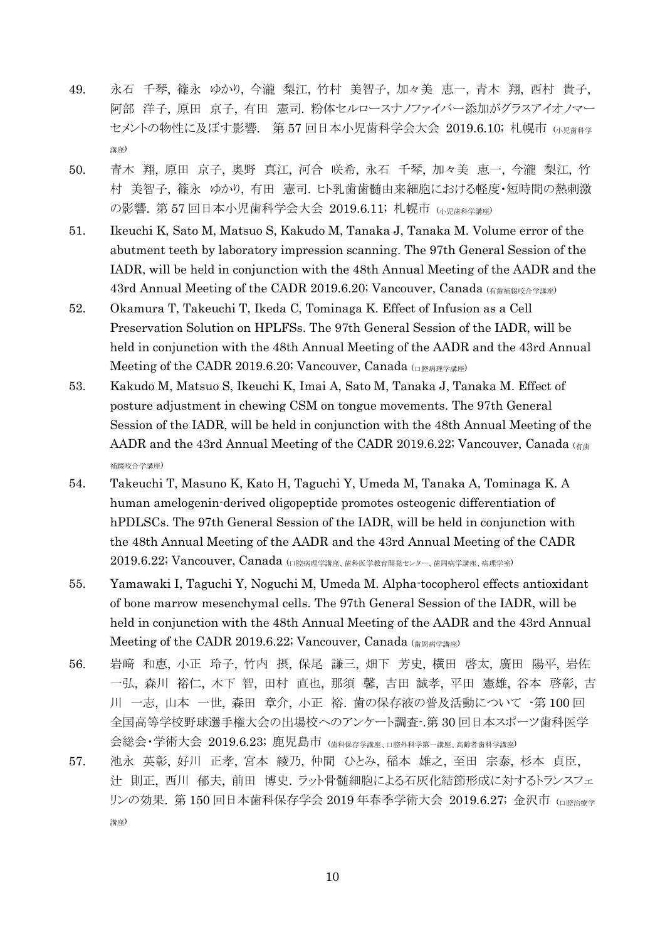- 49. 永石 千琴, 篠永 ゆかり, 今瀧 梨江, 竹村 美智子, 加々美 恵一, 青木 翔, 西村 貴子, 阿部 洋子, 原田 京子, 有田 憲司. 粉体セルロースナノファイバー添加がグラスアイオノマー セメントの物性に及ぼす影響. 第57回日本小児歯科学会大会 2019.6.10; 札幌市 (小児歯科学 講座)
- 50. 青木 翔, 原田 京子, 奥野 真江, 河合 咲希, 永石 千琴, 加々美 恵一, 今瀧 梨江, 竹 村 美智子, 篠永 ゆかり, 有田 憲司. ヒト乳歯歯髄由来細胞における軽度・短時間の熱刺激 の影響. 第57回日本小児歯科学会大会 2019.6.11; 札幌市 (小児歯科学講座)
- 51. Ikeuchi K, Sato M, Matsuo S, Kakudo M, Tanaka J, Tanaka M. Volume error of the abutment teeth by laboratory impression scanning. The 97th General Session of the IADR, will be held in conjunction with the 48th Annual Meeting of the AADR and the 43rd Annual Meeting of the CADR 2019.6.20; Vancouver, Canada  $\left( \frac{\hat{\pi}}{\hat{\pi}} \right)$
- 52. Okamura T, Takeuchi T, Ikeda C, Tominaga K. Effect of Infusion as a Cell Preservation Solution on HPLFSs. The 97th General Session of the IADR, will be held in conjunction with the 48th Annual Meeting of the AADR and the 43rd Annual Meeting of the CADR 2019.6.20; Vancouver, Canada  $($  $\Box$   $\mathbb{R}$ ## $\mathbb{R}$  $\mathbb{R}$
- 53. Kakudo M, Matsuo S, Ikeuchi K, Imai A, Sato M, Tanaka J, Tanaka M. Effect of posture adjustment in chewing CSM on tongue movements. The 97th General Session of the IADR, will be held in conjunction with the 48th Annual Meeting of the AADR and the 43rd Annual Meeting of the CADR 2019.6.22; Vancouver, Canada  $\left( \frac{4}{6} \right)$ 補綴咬合学講座)
- 54. Takeuchi T, Masuno K, Kato H, Taguchi Y, Umeda M, Tanaka A, Tominaga K. A human amelogenin-derived oligopeptide promotes osteogenic differentiation of hPDLSCs. The 97th General Session of the IADR, will be held in conjunction with the 48th Annual Meeting of the AADR and the 43rd Annual Meeting of the CADR 2019.6.22; Vancouver, Canada (口腔病理学講座、歯科医学教育開発センター、歯周病学講座、病理学室)
- 55. Yamawaki I, Taguchi Y, Noguchi M, Umeda M. Alpha-tocopherol effects antioxidant of bone marrow mesenchymal cells. The 97th General Session of the IADR, will be held in conjunction with the 48th Annual Meeting of the AADR and the 43rd Annual Meeting of the CADR 2019.6.22; Vancouver, Canada (歯周病学講座)
- 56. 岩﨑 和恵, 小正 玲子, 竹内 摂, 保尾 謙三, 畑下 芳史, 横田 啓太, 廣田 陽平, 岩佐 一弘, 森川 裕仁, 木下 智, 田村 直也, 那須 馨, 吉田 誠孝, 平田 憲雄, 谷本 啓彰, 吉 川 一志, 山本 一世, 森田 章介, 小正 裕. 歯の保存液の普及活動について -第 100 回 全国高等学校野球選手権大会の出場校へのアンケート調査-.第 30 回日本スポーツ歯科医学 会総会・学術大会 2019.6.23; 鹿児島市 (歯科保存学講座、口腔外科学第一講座、高齢者歯科学講座)
- 57. 池永 英彰, 好川 正孝, 宮本 綾乃, 仲間 ひとみ, 稲本 雄之, 至田 宗泰, 杉本 貞臣, 辻 則正, 西川 郁夫, 前田 博史. ラット骨髄細胞による石灰化結節形成に対するトランスフェ リンの効果. 第 150 回日本歯科保存学会 2019 年春季学術大会 2019.6.27; 金沢市 (ロ腔治療学 講座)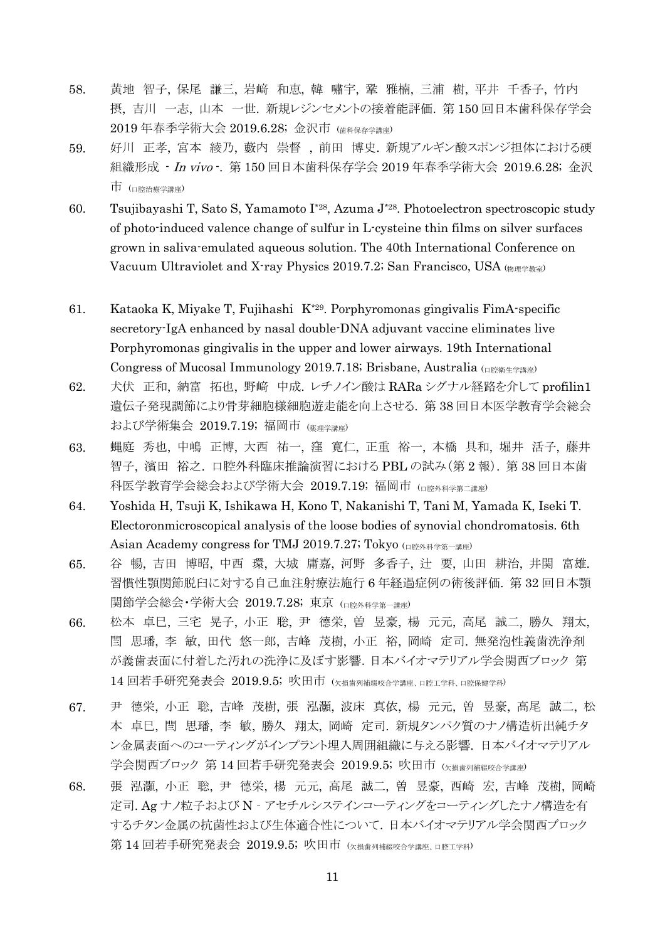- 58. 黄地 智子, 保尾 謙三, 岩﨑 和恵, 韓 嘯宇, 鞏 雅楠, 三浦 樹, 平井 千香子, 竹内 摂, 吉川 一志, 山本 一世. 新規レジンセメントの接着能評価. 第 150 回日本歯科保存学会 2019 年春季学術大会 2019.6.28; 金沢市 (歯科保存学講座)
- 59. 好川 正孝, 宮本 綾乃, 藪内 崇督 , 前田 博史. 新規アルギン酸スポンジ担体における硬 組織形成 · In vivo ·. 第 150 回日本歯科保存学会 2019 年春季学術大会 2019.6.28; 金沢 市 (口腔治療学講座)
- 60. Tsujibayashi T, Sato S, Yamamoto I\*28, Azuma J\*28 . Photoelectron spectroscopic study of photo-induced valence change of sulfur in L-cysteine thin films on silver surfaces grown in saliva-emulated aqueous solution. The 40th International Conference on Vacuum Ultraviolet and X-ray Physics 2019.7.2; San Francisco, USA (\$)
- 61. Kataoka K, Miyake T, Fujihashi K\*29. Porphyromonas gingivalis FimA-specific secretory-IgA enhanced by nasal double-DNA adjuvant vaccine eliminates live Porphyromonas gingivalis in the upper and lower airways. 19th International Congress of Mucosal Immunology 2019.7.18; Brisbane, Australia (口腔衛生学講座)
- 62. 犬伏 正和, 納富 拓也, 野﨑 中成. レチノイン酸は RARa シグナル経路を介して profilin1 遺伝子発現調節により骨芽細胞様細胞遊走能を向上させる. 第 38 回日本医学教育学会総会 および学術集会 2019.7.19; 福岡市 (事理学講座)
- 63. 蝿庭 秀也, 中嶋 正博, 大西 祐一, 窪 寛仁, 正重 裕一, 本橋 具和, 堀井 活子, 藤井 智子, 濱田 裕之. 口腔外科臨床推論演習における PBL の試み(第 2 報). 第 38 回日本歯 科医学教育学会総会および学術大会 2019.7.19; 福岡市 (ロ腔外科学第二講座)
- 64. Yoshida H, Tsuji K, Ishikawa H, Kono T, Nakanishi T, Tani M, Yamada K, Iseki T. Electoronmicroscopical analysis of the loose bodies of synovial chondromatosis. 6th Asian Academy congress for TMJ 2019.7.27; Tokyo (口腔外科学第一講座)
- 65. 谷 暢, 吉田 博昭, 中西 環, 大城 庸嘉, 河野 多香子, 辻 要, 山田 耕治, 井関 富雄. 習慣性顎関節脱臼に対する自己血注射療法施行 6 年経過症例の術後評価. 第 32 回日本顎 関節学会総会・学術大会 2019.7.28; 東京 (ロ腔外科学第一講座)
- 66. 松本 卓巳, 三宅 晃子, 小正 聡, 尹 德栄, 曽 昱豪, 楊 元元, 高尾 誠二, 勝久 翔太, 閆 思璠, 李 敏, 田代 悠一郎, 吉峰 茂樹, 小正 裕, 岡崎 定司. 無発泡性義歯洗浄剤 が義歯表面に付着した汚れの洗浄に及ぼす影響.日本バイオマテリアル学会関西ブロック 第 14 回若手研究発表会 2019.9.5; 吹田市 (<sub>欠損歯列補綴咬合学講座、口腔工学科、口腔保健学科</sub>)
- 67. 尹 德栄, 小正 聡, 吉峰 茂樹, 張 泓灝, 波床 真依, 楊 元元, 曽 昱豪, 高尾 誠二, 松 本 卓巳, 閆 思璠, 李 敏, 勝久 翔太, 岡崎 定司. 新規タンパク質のナノ構造析出純チタ ン金属表面へのコーティングがインプラント埋入周囲組織に与える影響. 日本バイオマテリアル 学会関西ブロック 第 14 回若手研究発表会 2019.9.5; 吹田市 (欠損歯列補綴咬合学講座)
- 68. 張 泓灝, 小正 聡, 尹 德栄, 楊 元元, 高尾 誠二, 曽 昱豪, 西崎 宏, 吉峰 茂樹, 岡崎 定司. Ag ナノ粒子および N‐アセチルシステインコーティングをコーティングしたナノ構造を有 するチタン金属の抗菌性および生体適合性について.日本バイオマテリアル学会関西ブロック 第 14 回若手研究発表会 2019.9.5; 吹田市 (\*損歯列補綴咬合学講座 口腔工学科)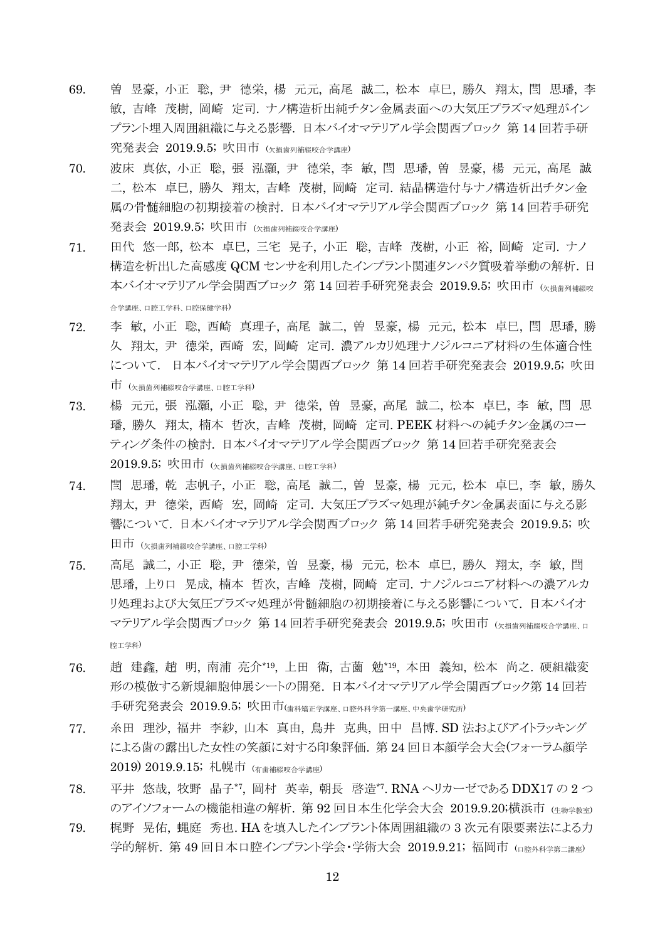- 69. 曽 昱豪, 小正 聡, 尹 德栄, 楊 元元, 高尾 誠二, 松本 卓巳, 勝久 翔太, 閆 思璠, 李 敏, 吉峰 茂樹, 岡崎 定司. ナノ構造析出純チタン金属表面への大気圧プラズマ処理がイン プラント埋入周囲組織に与える影響. 日本バイオマテリアル学会関西ブロック 第 14 回若手研 究発表会 2019.9.5; 吹田市 (欠損歯列補綴咬合学講座)
- 70. 波床 真依, 小正 聡, 張 泓灝, 尹 德栄, 李 敏, 閆 思璠, 曽 昱豪, 楊 元元, 高尾 誠 二, 松本 卓巳, 勝久 翔太, 吉峰 茂樹, 岡崎 定司. 結晶構造付与ナノ構造析出チタン金 属の骨髄細胞の初期接着の検討. 日本バイオマテリアル学会関西ブロック 第 14 回若手研究 発表会 2019.9.5; 吹田市 (欠損歯列補綴咬合学講座)
- 71. 田代 悠一郎, 松本 卓巳, 三宅 晃子, 小正 聡, 吉峰 茂樹, 小正 裕, 岡崎 定司. ナノ 構造を析出した高感度 QCM センサを利用したインプラント関連タンパク質吸着挙動の解析.日 本バイオマテリアル学会関西ブロック 第 14 回若手研究発表会 2019.9.5; 吹田市 (k損歯刺補器咳 合学講座、口腔工学科、口腔保健学科)
- 72. 李 敏, 小正 聡, 西崎 真理子, 高尾 誠二, 曽 昱豪, 楊 元元, 松本 卓巳, 閆 思璠, 勝 久 翔太, 尹 德栄, 西崎 宏, 岡崎 定司. 濃アルカリ処理ナノジルコニア材料の生体適合性 について. 日本バイオマテリアル学会関西ブロック 第 14 回若手研究発表会 2019.9.5; 吹田 市 (欠損歯列補綴咬合学講座、口腔工学科)
- 73. 楊 元元, 張 泓灝, 小正 聡, 尹 德栄, 曽 昱豪, 高尾 誠二, 松本 卓巳, 李 敏, 閆 思 璠, 勝久 翔太, 楠本 哲次, 吉峰 茂樹, 岡崎 定司. PEEK 材料への純チタン金属のコー ティング条件の検討. 日本バイオマテリアル学会関西ブロック 第 14 回若手研究発表会  $2019.9.5$ ; 吹田市 (<sub>欠損歯列補綴咬合学講座、口腔工学科)</sub>
- 74. 閆 思璠, 乾 志帆子, 小正 聡, 高尾 誠二, 曽 昱豪, 楊 元元, 松本 卓巳, 李 敏, 勝久 翔太, 尹 德栄, 西崎 宏, 岡崎 定司. 大気圧プラズマ処理が純チタン金属表面に与える影 響について. 日本バイオマテリアル学会関西ブロック 第 14 回若手研究発表会 2019.9.5; 吹 田市 (欠損歯列補綴咬合学講座、口腔工学科)
- 75. 高尾 誠二, 小正 聡, 尹 德栄, 曽 昱豪, 楊 元元, 松本 卓巳, 勝久 翔太, 李 敏, 閆 思璠, 上り口 晃成, 楠本 哲次, 吉峰 茂樹, 岡崎 定司. ナノジルコニア材料への濃アルカ リ処理および大気圧プラズマ処理が骨髄細胞の初期接着に与える影響について. 日本バイオ マテリアル学会関西ブロック 第 14 回若手研究発表会 2019.9.5; 吹田市 (欠損歯列補綴咬合学講座 ロ 腔工学科)
- 76. 趙 建鑫, 趙 明, 南浦 亮介\*19 , 上田 衛, 古薗 勉\*19 , 本田 義知, 松本 尚之. 硬組織変 形の模倣する新規細胞伸展シートの開発. 日本バイオマテリアル学会関西ブロック第 14 回若 手研究発表会 2019.9.5; 吹田市(歯科矯正学講座、口腔外科学第一講座、中央歯学研究所)
- 77. 糸田 理沙, 福井 李紗, 山本 真由, 鳥井 克典, 田中 昌博. SD 法およびアイトラッキング による歯の露出した女性の笑顔に対する印象評価. 第 24 回日本顔学会大会(フォーラム顔学 2019) 2019.9.15; 札幌市 (有歯補綴咬合学講座)
- 78. 平井 悠哉, 牧野 晶子\*7 , 岡村 英幸, 朝長 啓造\*7. RNA ヘリカーゼである DDX17 の 2 つ のアイソフォームの機能相違の解析. 第 92 回日本生化学会大会 2019.9.20;横浜市 (生物学教室)
- 79. 梶野 晃佑, 蝿庭 秀也. HA を填入したインプラント体周囲組織の 3 次元有限要素法による力 学的解析. 第49回日本口腔インプラント学会・学術大会 2019.9.21; 福岡市 (ロ腔外科学第二講座)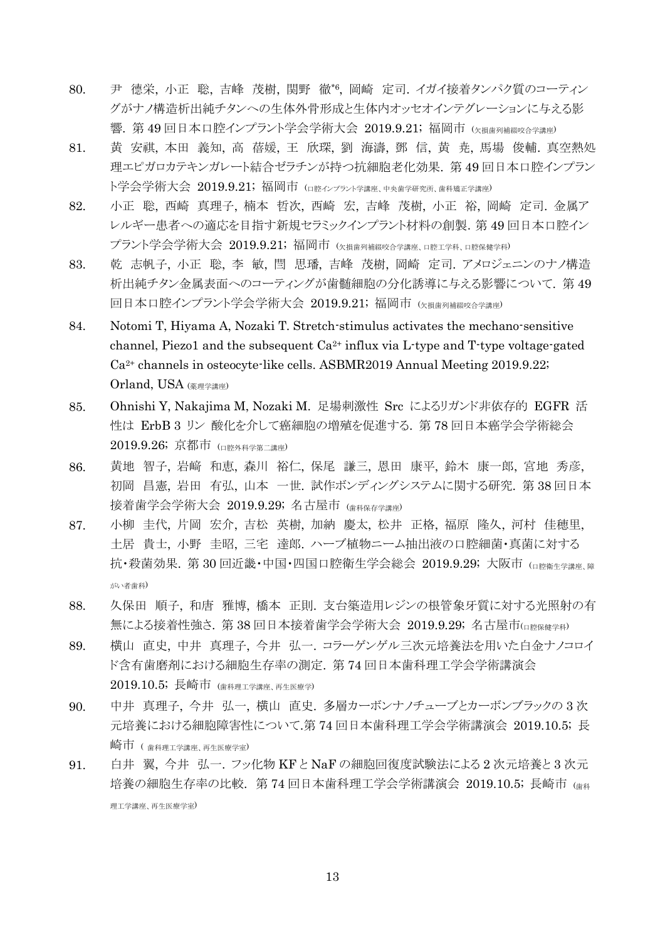- 80. 尹 德栄, 小正 聡, 吉峰 茂樹, 関野 徹\*6 , 岡崎 定司. イガイ接着タンパク質のコーティン グがナノ構造析出純チタンへの生体外骨形成と生体内オッセオインテグレーションに与える影 響. 第49回日本口腔インプラント学会学術大会 2019.9.21;福岡市 (欠損歯列補綴咬合学講座)
- 81. 黄 安祺, 本田 義知, 高 蓓媛, 王 欣琛, 劉 海濤, 鄧 信, 黄 尭, 馬場 俊輔. 真空熱処 理エピガロカテキンガレート結合ゼラチンが持つ抗細胞老化効果. 第 49 回日本口腔インプラン ト学会学術大会 2019.9.21;福岡市 (ロ腔インプラント学講座、中央歯学研究所、歯科矯正学講座)
- 82. 小正 聡, 西崎 真理子, 楠本 哲次, 西崎 宏, 吉峰 茂樹, 小正 裕, 岡崎 定司. 金属ア レルギー患者への適応を目指す新規セラミックインプラント材料の創製.第 49 回日本口腔イン プラント学会学術大会 2019.9.21; 福岡市 (欠損歯列補綴咬合学講座、口腔工学科、口腔保健学科)
- 83. 乾 志帆子, 小正 聡, 李 敏, 閆 思璠, 吉峰 茂樹, 岡崎 定司. アメロジェニンのナノ構造 析出純チタン金属表面へのコーティングが歯髄細胞の分化誘導に与える影響について. 第 49 回日本口腔インプラント学会学術大会 2019.9.21; 福岡市 (欠損歯列補綴咬合学講座)
- 84. Notomi T, Hiyama A, Nozaki T. Stretch-stimulus activates the mechano-sensitive channel, Piezo1 and the subsequent  $Ca^{2+}$  influx via L-type and T-type voltage-gated Ca2+ channels in osteocyte-like cells. ASBMR2019 Annual Meeting 2019.9.22; Orland, USA (薬理学講座)
- 85. Ohnishi Y, Nakajima M, Nozaki M. 足場刺激性 Src によるリガンド非依存的 EGFR 活 性は ErbB 3 リン 酸化を介して癌細胞の増殖を促進する. 第 78 回日本癌学会学術総会 2019.9.26; 京都市 (口腔外科学第二講座)
- 86. 黄地 智子, 岩﨑 和恵, 森川 裕仁, 保尾 謙三, 恩田 康平, 鈴木 康一郎, 宮地 秀彦, 初岡 昌憲, 岩田 有弘, 山本 一世. 試作ボンディングシステムに関する研究. 第 38 回日本 接着歯学会学術大会 2019.9.29; 名古屋市 (歯科保存学講座)
- 87. 小柳 圭代, 片岡 宏介, 吉松 英樹, 加納 慶太, 松井 正格, 福原 隆久, 河村 佳穂里, 土居 貴士, 小野 圭昭, 三宅 達郎. ハーブ植物ニーム抽出液の口腔細菌・真菌に対する 抗・殺菌効果. 第 30 回近畿・中国・四国口腔衛生学会総会 2019.9.29; 大阪市 (ロ腔衛生学講座 障 がい者歯科)
- 88. 久保田 順子, 和唐 雅博, 橋本 正則. 支台築造用レジンの根管象牙質に対する光照射の有 無による接着性強さ. 第 38 回日本接着歯学会学術大会 2019.9.29; 名古屋市(ロ腔保健学科)
- 89. 横山 直史, 中井 真理子, 今井 弘一. コラーゲンゲル三次元培養法を用いた白金ナノコロイ ド含有歯磨剤における細胞生存率の測定. 第 74 回日本歯科理工学会学術講演会 2019.10.5; 長崎市 (歯科理工学講座、再生医療学)
- 90. 中井 真理子, 今井 弘一, 横山 直史. 多層カーボンナノチューブとカーボンブラックの 3 次 元培養における細胞障害性について.第 74 回日本歯科理工学会学術講演会 2019.10.5; 長 崎市 ( 歯科理工学講座、再生医療学室)
- 91. 白井 翼, 今井 弘一. フッ化物 KF と NaF の細胞回復度試験法による 2 次元培養と 3 次元 培養の細胞生存率の比較. 第 74 回日本歯科理工学会学術講演会 2019.10.5; 長崎市 (歯科 理工学講座、再生医療学室)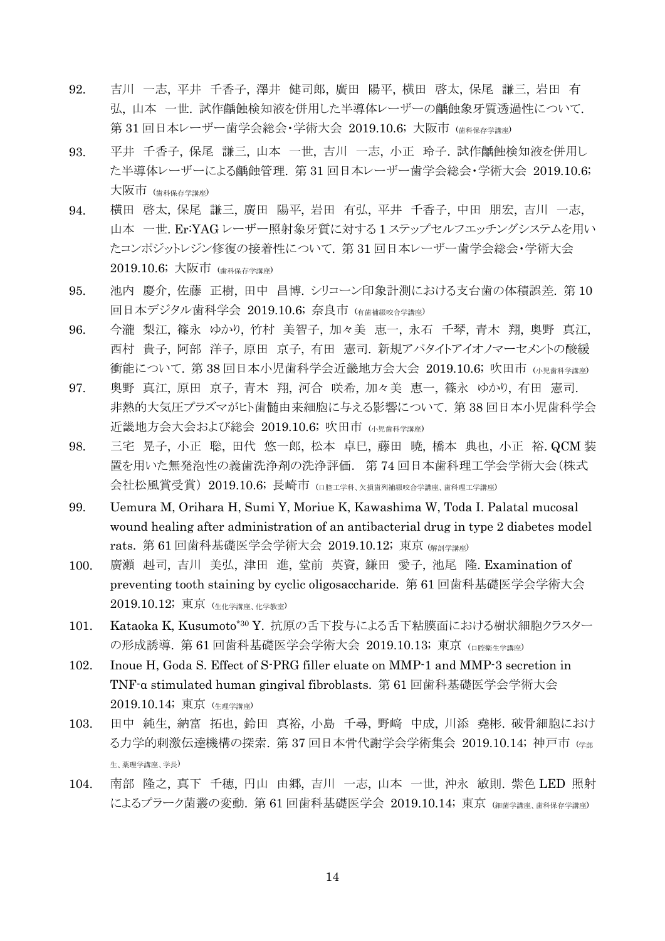- 92. 吉川 一志, 平井 千香子, 澤井 健司郎, 廣田 陽平, 横田 啓太, 保尾 謙三, 岩田 有 弘, 山本 一世. 試作齲蝕検知液を併用した半導体レーザーの齲蝕象牙質透過性について. 第 31 回日本レーザー歯学会総会・学術大会 2019.10.6; 大阪市 (歯科保存学講座)
- 93. 平井 千香子, 保尾 謙三, 山本 一世, 吉川 一志, 小正 玲子. 試作齲蝕検知液を併用し た半導体レーザーによる齲蝕管理. 第 31 回日本レーザー歯学会総会・学術大会 2019.10.6; 大阪市 (<sub>歯科保存学講座</sub>)
- 94. 横田 啓太, 保尾 謙三, 廣田 陽平, 岩田 有弘, 平井 千香子, 中田 朋宏, 吉川 一志, 山本 一世. Er:YAG レーザー照射象牙質に対する 1 ステップセルフエッチングシステムを用い たコンポジットレジン修復の接着性について. 第 31 回日本レーザー歯学会総会・学術大会 2019.10.6; 大阪市 (歯科保存学講座)
- 95. 池内 慶介, 佐藤 正樹, 田中 昌博. シリコーン印象計測における支台歯の体積誤差. 第 10 回日本デジタル歯科学会 2019.10.6; 奈良市 (有歯補綴咬合学講座)
- 96. 今瀧 梨江, 篠永 ゆかり, 竹村 美智子, 加々美 恵一, 永石 千琴, 青木 翔, 奥野 真江, 西村 貴子, 阿部 洋子, 原田 京子, 有田 憲司. 新規アパタイトアイオノマーセメントの酸緩 衝能について. 第 38回日本小児歯科学会近畿地方会大会 2019.10.6; 吹田市 (小児歯科学講座)
- 97. 奥野 真江, 原田 京子, 青木 翔, 河合 咲希, 加々美 恵一, 篠永 ゆかり, 有田 憲司. 非熱的大気圧プラズマがヒト歯髄由来細胞に与える影響について. 第 38 回日本小児歯科学会 近畿地方会大会および総会 2019.10.6; 吹田市 (小児歯科学講座)
- 98. 三宅 晃子, 小正 聡, 田代 悠一郎, 松本 卓巳, 藤田 暁, 橋本 典也, 小正 裕. QCM 装 置を用いた無発泡性の義歯洗浄剤の洗浄評価. 第 74 回日本歯科理工学会学術大会(株式 会社松風賞受賞) 2019.10.6; 長崎市 (口腔工学科、欠損歯列補綴咬合学講座、歯科理工学講座)
- 99. Uemura M, Orihara H, Sumi Y, Moriue K, Kawashima W, Toda I. Palatal mucosal wound healing after administration of an antibacterial drug in type 2 diabetes model rats. 第 61 回歯科基礎医学会学術大会 2019.10.12; 東京 (解剖学講座)
- 100. 廣瀬 赳司, 吉川 美弘, 津田 進, 堂前 英資, 鎌田 愛子, 池尾 隆. Examination of preventing tooth staining by cyclic oligosaccharide. 第 61 回歯科基礎医学会学術大会 2019.10.12; 東京 (生化学講座、化学教室)
- 101. Kataoka K, Kusumoto\*30 Y. 抗原の舌下投与による舌下粘膜面における樹状細胞クラスター の形成誘導. 第 61 回歯科基礎医学会学術大会 2019.10.13; 東京 (ロ腔衛生学講座)
- 102. Inoue H, Goda S. Effect of S-PRG filler eluate on MMP-1 and MMP-3 secretion in TNF-α stimulated human gingival fibroblasts. 第 61 回歯科基礎医学会学術大会 2019.10.14; 東京 (生理学講座)
- 103. 田中 純生, 納富 拓也, 鈴田 真裕, 小島 千尋, 野﨑 中成, 川添 堯彬. 破骨細胞におけ る力学的刺激伝達機構の探索. 第 37 回日本骨代謝学会学術集会 2019.10.14; 神戸市 (学部 生、薬理学講座、学長)
- 104. 南部 隆之, 真下 千穂, 円山 由郷, 吉川 一志, 山本 一世, 沖永 敏則. 紫色 LED 照射 によるプラーク菌叢の変動. 第 61 回歯科基礎医学会 2019.10.14; 東京 (細菌学講座、歯科保存学講座)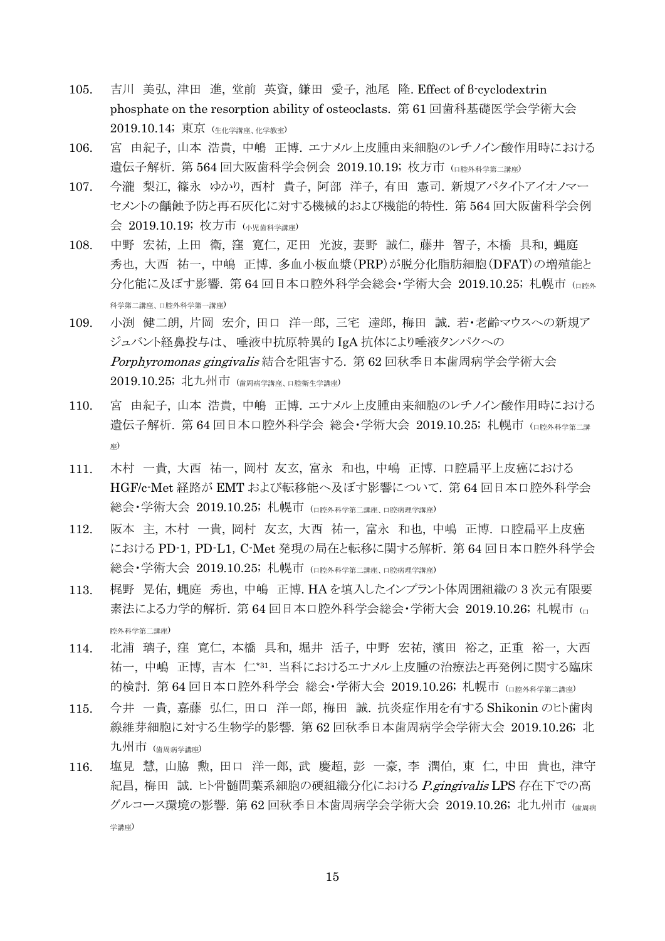- 105. 吉川 美弘, 津田 進, 堂前 英資, 鎌田 愛子, 池尾 隆. Effect of β-cyclodextrin phosphate on the resorption ability of osteoclasts. 第 61 回歯科基礎医学会学術大会 2019.10.14; 東京 (生化学講座、化学教室)
- 106. 宮 由紀子, 山本 浩貴, 中嶋 正博. エナメル上皮腫由来細胞のレチノイン酸作用時における 遺伝子解析. 第 564 回大阪歯科学会例会 2019.10.19; 枚方市 (口腔外科学第二講座)
- 107. 今瀧 梨江, 篠永 ゆかり, 西村 貴子, 阿部 洋子, 有田 憲司. 新規アパタイトアイオノマー セメントの齲蝕予防と再石灰化に対する機械的および機能的特性. 第 564 回大阪歯科学会例 会 2019.10.19; 枚方市 (小児歯科学講座)
- 108. 中野 宏祐, 上田 衛, 窪 寛仁, 疋田 光波, 妻野 誠仁, 藤井 智子, 本橋 具和, 蝿庭 秀也, 大西 祐一, 中嶋 正博. 多血小板血漿(PRP)が脱分化脂肪細胞(DFAT)の増殖能と 分化能に及ぼす影響. 第 64 回日本口腔外科学会総会・学術大会 2019.10.25; 札幌市 (ロ腔外 科学第二講座、口腔外科学第一講座)
- 109. 小渕 健二朗, 片岡 宏介, 田口 洋一郎, 三宅 達郎, 梅田 誠. 若・老齢マウスへの新規ア ジュバント経鼻投与は、 唾液中抗原特異的 IgA 抗体により唾液タンパクへの Porphyromonas gingivalis 結合を阻害する. 第 62 回秋季日本歯周病学会学術大会 2019.10.25; 北九州市 (歯周病学講座、口腔衛生学講座)
- 110. 宮 由紀子, 山本 浩貴, 中嶋 正博. エナメル上皮腫由来細胞のレチノイン酸作用時における 遺伝子解析. 第 64 回日本口腔外科学会 総会・学術大会 2019.10.25; 札幌市 (ロ腔外科学第二講 座)
- 111. 木村 一貴, 大西 祐一, 岡村 友玄, 富永 和也, 中嶋 正博. 口腔扁平上皮癌における HGF/c-Met 経路が EMT および転移能へ及ぼす影響について. 第 64 回日本口腔外科学会 総会・学術大会 2019.10.25; 札幌市 (口腔外科学第二講座、口腔病理学講座)
- 112. 阪本 主, 木村 一貴, 岡村 友玄, 大西 祐一, 富永 和也, 中嶋 正博. 口腔扁平上皮癌 における PD-1,PD-L1,C-Met 発現の局在と転移に関する解析. 第 64 回日本口腔外科学会 総会・学術大会 2019.10.25; 札幌市 (口腔外科学第二講座、口腔病理学講座)
- 113. 梶野 晃佑, 蝿庭 秀也, 中嶋 正博. HA を填入したインプラント体周囲組織の 3 次元有限要 素法による力学的解析. 第 64 回日本口腔外科学会総会・学術大会 2019.10.26; 札幌市 (<sup>口</sup> 腔外科学第二講座)
- 114. 北浦 璃子, 窪 寛仁, 本橋 具和, 堀井 活子, 中野 宏祐, 濱田 裕之, 正重 裕一, 大西 祐一, 中嶋 正博, 吉本 仁\*31 . 当科におけるエナメル上皮腫の治療法と再発例に関する臨床 的検討. 第 64 回日本口腔外科学会 総会・学術大会 2019.10.26; 札幌市 (ロ腔外科学第二講座)
- 115. 今井 一貴, 嘉藤 弘仁, 田口 洋一郎, 梅田 誠. 抗炎症作用を有する Shikonin のヒト歯肉 線維芽細胞に対する生物学的影響. 第 62 回秋季日本歯周病学会学術大会 2019.10.26; 北 九州市 (歯周病学講座)
- 116. 塩見 慧, 山脇 勲, 田口 洋一郎, 武 慶超, 彭 一豪, 李 潤伯, 東 仁, 中田 貴也, 津守 紀昌, 梅田 誠. ヒト骨髄間葉系細胞の硬組織分化における *P.gingivalis* LPS 存在下での高 グルコース環境の影響. 第62回秋季日本歯周病学会学術大会 2019.10.26; 北九州市 (歯周病 学講座)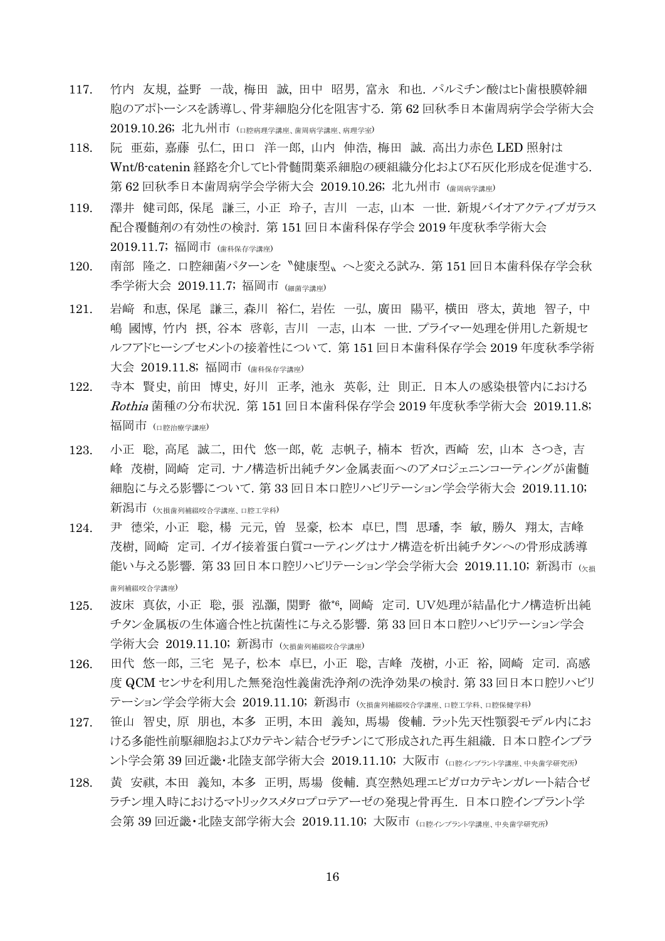- 117. 竹内 友規, 益野 一哉, 梅田 誠, 田中 昭男, 富永 和也. パルミチン酸はヒト歯根膜幹細 胞のアポトーシスを誘導し、骨芽細胞分化を阻害する. 第 62 回秋季日本歯周病学会学術大会 2019.10.26; 北九州市 (口腔病理学講座、歯周病学講座、病理学室)
- 118. 阮 亜茹, 嘉藤 弘仁, 田口 洋一郎, 山内 伸浩, 梅田 誠. 高出力赤色 LED 照射は Wnt/β-catenin 経路を介してヒト骨髄間葉系細胞の硬組織分化および石灰化形成を促進する. 第 62 回秋季日本歯周病学会学術大会 2019.10.26; 北九州市 (歯周病学講座)
- 119. 澤井 健司郎, 保尾 謙三, 小正 玲子, 吉川 一志, 山本 一世. 新規バイオアクティブガラス 配合覆髄剤の有効性の検討. 第 151 回日本歯科保存学会 2019 年度秋季学術大会  $2019.11.7$ ; 福岡市 (<sub>歯科保存学講座</sub>)
- 120. 南部 隆之. 口腔細菌パターンを〝健康型〟へと変える試み. 第 151 回日本歯科保存学会秋 季学術大会 2019.11.7; 福岡市 (細菌学講座)
- 121. 岩﨑 和恵, 保尾 謙三, 森川 裕仁, 岩佐 一弘, 廣田 陽平, 横田 啓太, 黄地 智子, 中 嶋 國博, 竹内 摂, 谷本 啓彰, 吉川 一志, 山本 一世. プライマー処理を併用した新規セ ルフアドヒーシブセメントの接着性について. 第 151 回日本歯科保存学会 2019 年度秋季学術 大会 2019.11.8; 福岡市 (歯科保存学講座)
- 122. 寺本 賢史, 前田 博史, 好川 正孝, 池永 英彰, 辻 則正. 日本人の感染根管内における Rothia 菌種の分布状況. 第 151 回日本歯科保存学会 2019 年度秋季学術大会 2019.11.8; 福岡市 (ロ腔治療学講座)
- 123. 小正 聡, 高尾 誠二, 田代 悠一郎, 乾 志帆子, 楠本 哲次, 西崎 宏, 山本 さつき, 吉 峰 茂樹, 岡崎 定司. ナノ構造析出純チタン金属表面へのアメロジェニンコーティングが歯髄 細胞に与える影響について.第 33 回日本口腔リハビリテーション学会学術大会 2019.11.10; 新潟市 (欠損歯列補綴咬合学講座、口腔工学科)
- 124. 尹 德栄, 小正 聡, 楊 元元, 曽 昱豪, 松本 卓巳, 閆 思璠, 李 敏, 勝久 翔太, 吉峰 茂樹, 岡崎 定司. イガイ接着蛋白質コーティングはナノ構造を析出純チタンへの骨形成誘導 能い与える影響. 第 33 回日本口腔リハビリテーション学会学術大会 2019.11.10; 新潟市 (K損 歯列補綴咬合学講座)
- 125. 波床 真依, 小正 聡, 張 泓灝, 関野 徹\*6 , 岡崎 定司. UV処理が結晶化ナノ構造析出純 チタン金属板の生体適合性と抗菌性に与える影響. 第 33 回日本口腔リハビリテーション学会 学術大会 2019.11.10; 新潟市 (欠損歯列補綴咬合学講座)
- 126. 田代 悠一郎, 三宅 晃子, 松本 卓巳, 小正 聡, 吉峰 茂樹, 小正 裕, 岡崎 定司. 高感 度 QCM センサを利用した無発泡性義歯洗浄剤の洗浄効果の検討.第 33 回日本口腔リハビリ テーション学会学術大会 2019.11.10; 新潟市 (欠損歯列補綴咬合学講座、口腔工学科、口腔保健学科)
- 127. 笹山 智史, 原 朋也, 本多 正明, 本田 義知, 馬場 俊輔. ラット先天性顎裂モデル内にお ける多能性前駆細胞およびカテキン結合ゼラチンにて形成された再生組織. 日本口腔インプラ ント学会第 39 回近畿・北陸支部学術大会 2019.11.10; 大阪市 (ロ腔インプラント学講座、中央歯学研究所)
- 128. 黄 安祺, 本田 義知, 本多 正明, 馬場 俊輔. 真空熱処理エピガロカテキンガレート結合ゼ ラチン埋入時におけるマトリックスメタロプロテアーゼの発現と骨再生. 日本口腔インプラント学 会第 39 回近畿・北陸支部学術大会 2019.11.10; 大阪市 (ロ腔インプラント学講座、中央歯学研究所)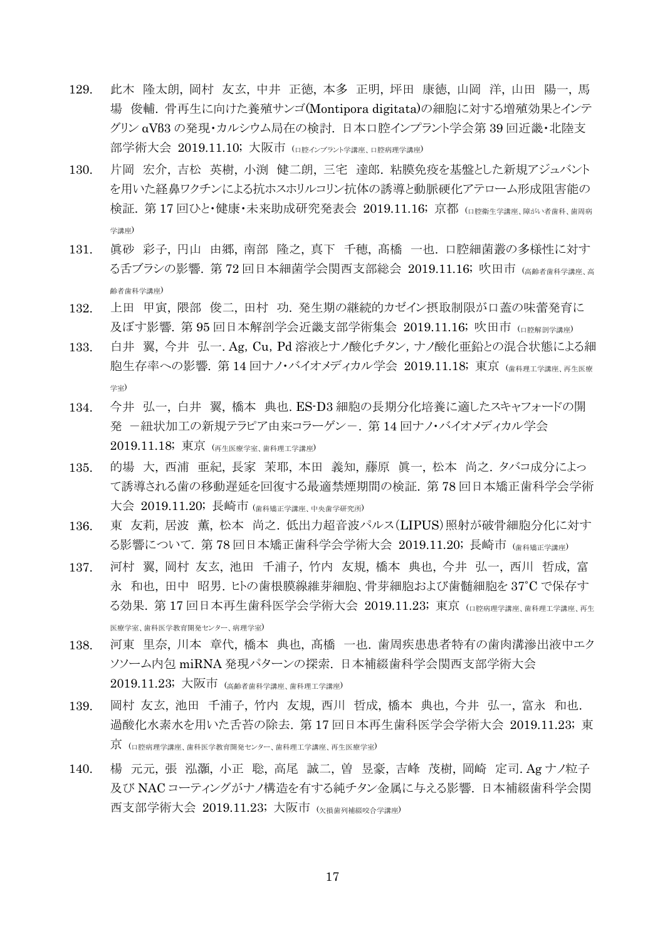- 129. 此木 隆太朗, 岡村 友玄, 中井 正徳, 本多 正明, 坪田 康徳, 山岡 洋, 山田 陽一, 馬 場 俊輔. 骨再生に向けた養殖サンゴ(Montipora digitata)の細胞に対する増殖効果とインテ グリン αVβ3 の発現・カルシウム局在の検討. 日本口腔インプラント学会第 39 回近畿・北陸支 部学術大会 2019.11.10; 大阪市 (ロ腔インプラント学講座、口腔病理学講座)
- 130. 片岡 宏介, 吉松 英樹, 小渕 健二朗, 三宅 達郎. 粘膜免疫を基盤とした新規アジュバント を用いた経鼻ワクチンによる抗ホスホリルコリン抗体の誘導と動脈硬化アテローム形成阻害能の 検証. 第 17 回ひと・健康・未来助成研究発表会 2019.11.16; 京都 (ロ腔衛生学講座 障がい者歯科 歯周病 学講座)
- 131. 眞砂 彩子, 円山 由郷, 南部 隆之, 真下 千穂, 髙橋 一也. 口腔細菌叢の多様性に対す る舌ブラシの影響. 第72回日本細菌学会関西支部総会 2019.11.16; 吹田市 (高齢者歯科学講座、高 齢者歯科学講座)
- 132. 上田 甲寅, 隈部 俊二, 田村 功. 発生期の継続的カゼイン摂取制限が口蓋の味蕾発育に 及ぼす影響. 第 95回日本解剖学会近畿支部学術集会 2019.11.16; 吹田市 (ロ腔解剖学講座)
- 133. 白井 翼, 今井 弘一. Ag,Cu,Pd 溶液とナノ酸化チタン,ナノ酸化亜鉛との混合状態による細 胞生存率への影響. 第 14 回ナノ・バイオメディカル学会 2019.11.18; 東京 (歯科理工学講座 再生医療 学室)
- 134. 今井 弘一, 白井 翼, 橋本 典也. ES-D3 細胞の長期分化培養に適したスキャフォードの開 発 一紐状加工の新規テラピア由来コラーゲンー. 第 14 回ナノ・バイオメディカル学会 2019.11.18; 東京 (再生医療学室、歯科理工学講座)
- 135. 的場 大, 西浦 亜紀, 長家 茉耶, 本田 義知, 藤原 眞一, 松本 尚之. タバコ成分によっ て誘導される歯の移動遅延を回復する最適禁煙期間の検証. 第 78 回日本矯正歯科学会学術 大会 2019.11.20; 長崎市 (歯科矯正学講座、中央歯学研究所)
- 136. 東 友莉, 居波 薫, 松本 尚之. 低出力超音波パルス(LIPUS)照射が破骨細胞分化に対す る影響について. 第78回日本矯正歯科学会学術大会 2019.11.20; 長崎市 (歯科矯正学講座)
- 137. 河村 翼, 岡村 友玄, 池田 千浦子, 竹内 友規, 橋本 典也, 今井 弘一, 西川 哲成, 富 永 和也, 田中 昭男. ヒトの歯根膜線維芽細胞、骨芽細胞および歯髄細胞を 37˚C で保存す る効果. 第 17 回日本再生歯科医学会学術大会 2019.11.23; 東京 (ロ腔病理学講座 歯科理工学講座 再生 医療学室、歯科医学教育開発センター、病理学室)
- 138. 河東 里奈, 川本 章代, 橋本 典也, 髙橋 一也. 歯周疾患患者特有の歯肉溝滲出液中エク ソソーム内包 miRNA 発現パターンの探索. 日本補綴歯科学会関西支部学術大会 2019.11.23; 大阪市 (高齢者歯科学講座、歯科理工学講座)
- 139. 岡村 友玄, 池田 千浦子, 竹内 友規, 西川 哲成, 橋本 典也, 今井 弘一, 富永 和也. 過酸化水素水を用いた舌苔の除去. 第 17 回日本再生歯科医学会学術大会 2019.11.23; 東 京 (口腔病理学講座、歯科医学教育開発センター、歯科理工学講座、再生医療学室)
- 140. 楊 元元, 張 泓灝, 小正 聡, 高尾 誠二, 曽 昱豪, 吉峰 茂樹, 岡崎 定司. Ag ナノ粒子 及び NAC コーティングがナノ構造を有する純チタン金属に与える影響. 日本補綴歯科学会関 西支部学術大会 2019.11.23; 大阪市 (欠損歯列補綴咬合学講座)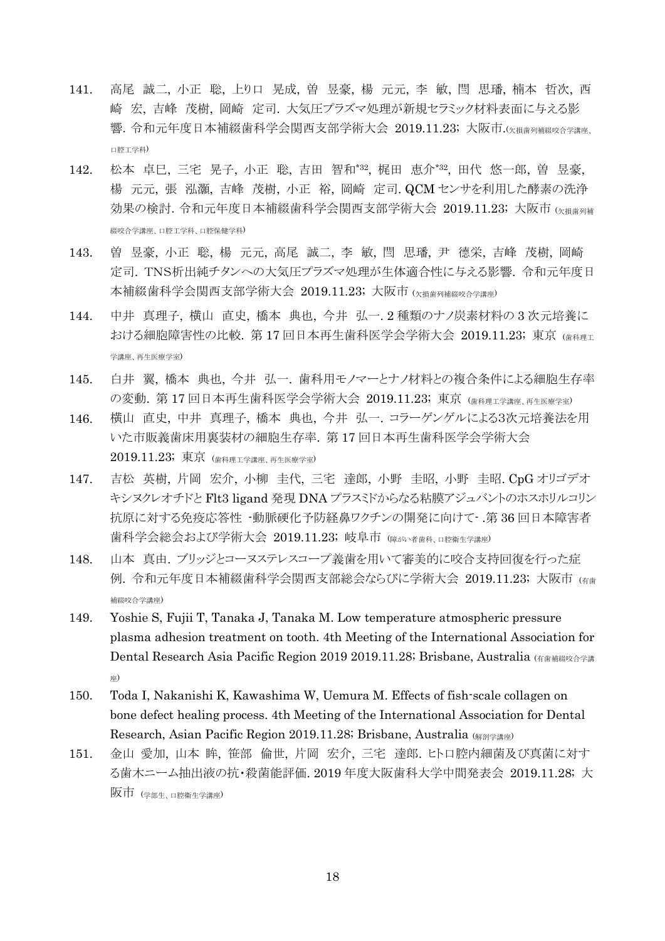- 141. 高尾 誠二, 小正 聡, 上り口 晃成, 曽 昱豪, 楊 元元, 李 敏, 閆 思璠, 楠本 哲次, 西 崎 宏, 吉峰 茂樹, 岡崎 定司. 大気圧プラズマ処理が新規セラミック材料表面に与える影 響. 令和元年度日本補綴歯科学会関西支部学術大会 2019.11.23; 大阪市.(\*##81###86今学講座 口腔工学科)
- 142. 松本 卓巳, 三宅 晃子, 小正 聡, 吉田 智和\*32 , 梶田 恵介\*32 , 田代 悠一郎, 曽 昱豪, 楊 元元, 張 泓灝, 吉峰 茂樹, 小正 裕, 岡崎 定司. QCM センサを利用した酵素の洗浄 効果の検討. 令和元年度日本補綴歯科学会関西支部学術大会 2019.11.23; 大阪市 (K損歯列補 綴咬合学講座、口腔工学科、口腔保健学科)
- 143. 曽 昱豪, 小正 聡, 楊 元元, 高尾 誠二, 李 敏, 閆 思璠, 尹 德栄, 吉峰 茂樹, 岡崎 定司. TNS析出純チタンへの大気圧プラズマ処理が生体適合性に与える影響. 令和元年度日 本補綴歯科学会関西支部学術大会 2019.11.23; 大阪市 (欠損歯列補綴咬合学講座)
- 144. 中井 真理子, 横山 直史, 橋本 典也, 今井 弘一. 2 種類のナノ炭素材料の 3 次元培養に おける細胞障害性の比較. 第17回日本再生歯科医学会学術大会 2019.11.23; 東京 (歯科理工 学講座、再生医療学室)
- 145. 白井 翼, 橋本 典也, 今井 弘一. 歯科用モノマーとナノ材料との複合条件による細胞生存率 の変動. 第 17 回日本再生歯科医学会学術大会 2019.11.23; 東京 (歯科理工学講座、再生医療学室)
- 146. 横山 直史, 中井 真理子, 橋本 典也, 今井 弘一. コラーゲンゲルによる3次元培養法を用 いた市販義歯床用裏装材の細胞生存率. 第 17 回日本再生歯科医学会学術大会 2019.11.23; 東京 (歯科理工学講座、再生医療学室)
- 147. 吉松 英樹, 片岡 宏介, 小柳 圭代, 三宅 達郎, 小野 圭昭, 小野 圭昭. CpG オリゴデオ キシヌクレオチドと Flt3 ligand 発現 DNA プラスミドからなる粘膜アジュバントのホスホリルコリン 抗原に対する免疫応答性 -動脈硬化予防経鼻ワクチンの開発に向けて- .第 36 回日本障害者 歯科学会総会および学術大会 2019.11.23; 岐阜市 (障がい者歯科、口腔衛生学講座)
- 148. 山本 真由. ブリッジとコーヌステレスコープ義歯を用いて審美的に咬合支持回復を行った症 例. 令和元年度日本補綴歯科学会関西支部総会ならびに学術大会 2019.11.23; 大阪市 (有歯 補綴咬合学講座)
- 149. Yoshie S, Fujii T, Tanaka J, Tanaka M. Low temperature atmospheric pressure plasma adhesion treatment on tooth. 4th Meeting of the International Association for Dental Research Asia Pacific Region 2019 2019.11.28; Brisbane, Australia (有歯補綴咬合学譜 座)
- 150. Toda I, Nakanishi K, Kawashima W, Uemura M. Effects of fish-scale collagen on bone defect healing process. 4th Meeting of the International Association for Dental Research, Asian Pacific Region 2019.11.28; Brisbane, Australia (解剖学講座)
- 151. 金山 愛加, 山本 眸, 笹部 倫世, 片岡 宏介, 三宅 達郎. ヒト口腔内細菌及び真菌に対す る歯木ニーム抽出液の抗・殺菌能評価. 2019 年度大阪歯科大学中間発表会 2019.11.28; 大 阪市 (学部生、口腔衛生学講座)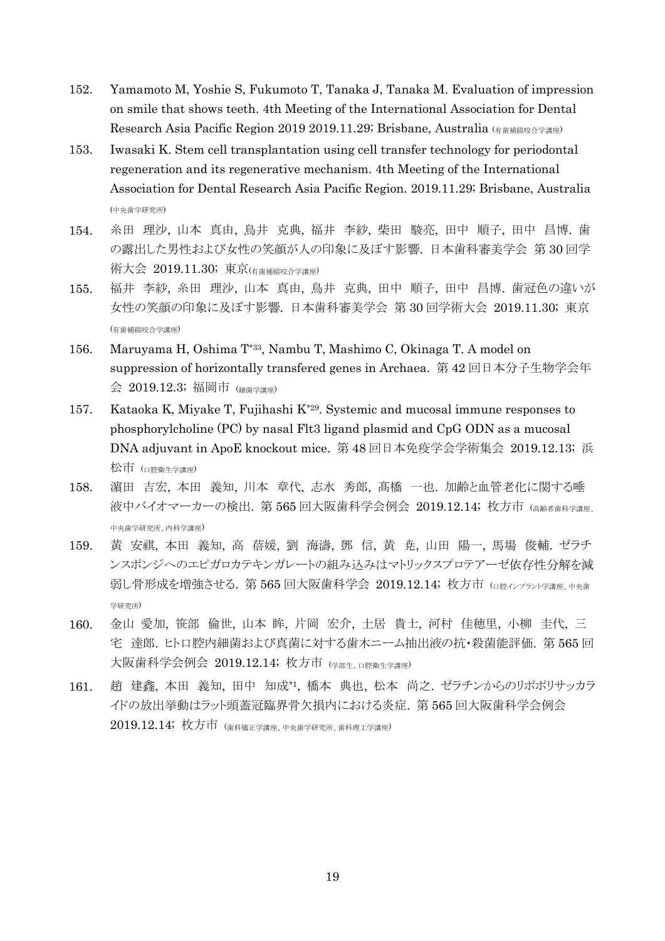- 152. Yamamoto M, Yoshie S, Fukumoto T, Tanaka J, Tanaka M. Evaluation of impression on smile that shows teeth. 4th Meeting of the International Association for Dental Research Asia Pacific Region 2019 2019.11.29; Brisbane, Australia (有歯補綴咬合学講座)
- 153. Iwasaki K. Stem cell transplantation using cell transfer technology for periodontal regeneration and its regenerative mechanism. 4th Meeting of the International Association for Dental Research Asia Pacific Region. 2019.11.29; Brisbane, Australia (中央歯学研究所)
- 154. 糸田 理沙, 山本 真由, 鳥井 克典, 福井 李紗, 柴田 駿亮, 田中 順子, 田中 昌博. 歯 の露出した男性および女性の笑顔が人の印象に及ぼす影響. 日本歯科審美学会 第 30 回学 術大会 2019.11.30; 東京(有歯補綴咬合学講座)
- 155. 福井 李紗, 糸田 理沙, 山本 真由, 鳥井 克典, 田中 順子, 田中 昌博. 歯冠色の違いが 女性の笑顔の印象に及ぼす影響. 日本歯科審美学会 第 30 回学術大会 2019.11.30; 東京 (有歯補綴咬合学講座)
- 156. Maruyama H, Oshima T\*33, Nambu T, Mashimo C, Okinaga T. A model on suppression of horizontally transfered genes in Archaea. 第 42 回日本分子生物学会年 会 2019.12.3; 福岡市 (細菌学講座)
- 157. Kataoka K, Miyake T, Fujihashi K\*29. Systemic and mucosal immune responses to phosphorylcholine (PC) by nasal Flt3 ligand plasmid and CpG ODN as a mucosal DNA adjuvant in ApoE knockout mice. 第 48 回日本免疫学会学術集会 2019.12.13; 浜 松市 (□腔衛生学講座)
- 158. 濵田 吉宏, 本田 義知, 川本 章代, 志水 秀郎, 髙橋 一也. 加齢と血管老化に関する唾 液中バイオマーカーの検出. 第 565 回大阪歯科学会例会 2019.12.14; 枚方市 (高齢者歯科学講座、 中央歯学研究所、内科学講座)
- 159. 黄 安祺, 本田 義知, 高 蓓媛, 劉 海濤, 鄧 信, 黄 尭, 山田 陽一, 馬場 俊輔. ゼラチ ンスポンジへのエピガロカテキンガレートの組み込みはマトリックスプロテアーゼ依存性分解を減 弱し骨形成を増強させる. 第 565 回大阪歯科学会 2019.12.14; 枚方市 (口腔インプラント学講座、中央歯 学研究所)
- 160. 金山 愛加, 笹部 倫世, 山本 眸, 片岡 宏介, 土居 貴士, 河村 佳穂里, 小柳 圭代, 三 宅 達郎. ヒト口腔内細菌および真菌に対する歯木ニーム抽出液の抗・殺菌能評価. 第 565 回 大阪歯科学会例会 2019.12.14; 枚方市 (学部生、口腔衛生学講座)
- 161. 趙 建鑫, 本田 義知, 田中 知成\*1 , 橋本 典也, 松本 尚之. ゼラチンからのリポポリサッカラ イドの放出挙動はラット頭蓋冠臨界骨欠損内における炎症. 第 565 回大阪歯科学会例会 2019.12.14; 枚方市 (歯科矯正学講座、中央歯学研究所、歯科理工学講座)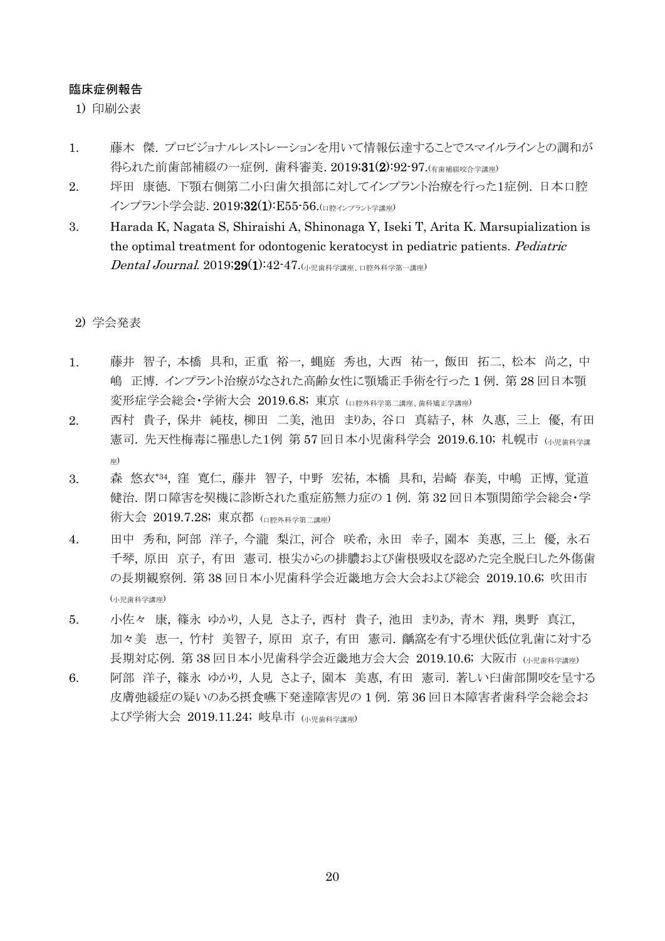### 臨床症例報告

1) 印刷公表

- 1. 藤木 傑. プロビジョナルレストレーションを用いて情報伝達することでスマイルラインとの調和が 得られた前歯部補綴の一症例. 歯科審美. 2019;31(2):92-97.(有歯補綴咬合学講座)
- 2. 坪田 康徳. 下顎右側第二小臼歯欠損部に対してインプラント治療を行った1症例. 日本口腔 インプラント学会誌. 2019;32(1):E55-56.(ロ腔インプラント学講座)
- 3. Harada K, Nagata S, Shiraishi A, Shinonaga Y, Iseki T, Arita K. Marsupialization is the optimal treatment for odontogenic keratocyst in pediatric patients. Pediatric  $\emph{Dental Journal.}$   $2019;29(1):42$ -47. $\textrm{O(N)~R}$ 嫩科学講座、口腔外科学第一講座)

### 2) 学会発表

- 1. 藤井 智子, 本橋 具和, 正重 裕一, 蝿庭 秀也, 大西 祐一, 飯田 拓二, 松本 尚之, 中 嶋 正博. インプラント治療がなされた高齢女性に顎矯正手術を行った 1 例. 第 28 回日本顎 変形症学会総会・学術大会 2019.6.8; 東京 (口腔外科学第二講座、歯科矯正学講座)
- 2. 西村 貴子, 保井 純枝, 柳田 二美, 池田 まりあ, 谷口 真結子, 林 久惠, 三上 優, 有田 憲司. 先天性梅毒に罹患した1例 第57回日本小児歯科学会 2019.6.10; 札幌市 い児歯科学講 座)
- 3. 森 悠衣\*34 , 窪 寛仁, 藤井 智子, 中野 宏祐, 本橋 具和, 岩崎 春美, 中嶋 正博, 覚道 健治. 閉口障害を契機に診断された重症筋無力症の 1 例. 第 32 回日本顎関節学会総会・学 術大会 2019.7.28; 東京都 (口腔外科学第二講座)
- 4. 田中 秀和, 阿部 洋子, 今瀧 梨江, 河合 咲希, 永田 幸子, 園本 美惠, 三上 優, 永石 千琴, 原田 京子, 有田 憲司. 根尖からの排膿および歯根吸収を認めた完全脱臼した外傷歯 の長期観察例. 第 38 回日本小児歯科学会近畿地方会大会および総会 2019.10.6; 吹田市 (小児歯科学講座)
- 5. 小佐々 康, 篠永 ゆかり, 人見 さよ子, 西村 貴子, 池田 まりあ, 青木 翔, 奥野 真江, 加々美 恵一, 竹村 美智子, 原田 京子, 有田 憲司. 齲窩を有する埋伏低位乳歯に対する 長期対応例. 第 38 回日本小児歯科学会近畿地方会大会 2019.10.6; 大阪市 (小児歯科学講座)
- 6. 阿部 洋子, 篠永 ゆかり, 人見 さよ子, 園本 美惠, 有田 憲司. 著しい臼歯部開咬を呈する 皮膚弛緩症の疑いのある摂食嚥下発達障害児の 1 例. 第 36 回日本障害者歯科学会総会お よび学術大会 2019.11.24; 岐阜市 (小児歯科学講座)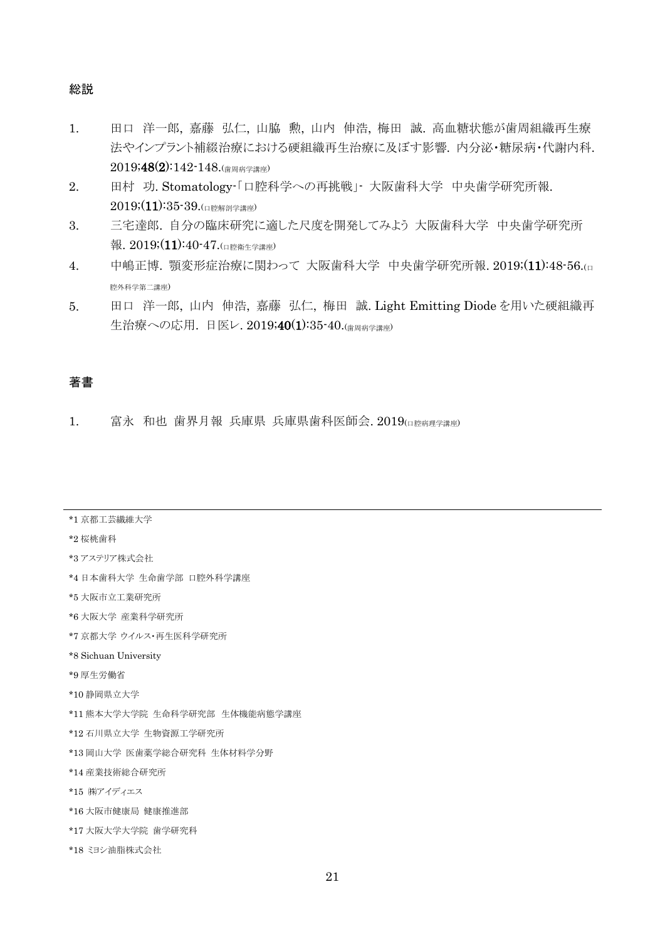#### 総説

- 1. 田口 洋一郎, 嘉藤 弘仁, 山脇 勲, 山内 伸浩, 梅田 誠. 高血糖状態が歯周組織再生療 法やインプラント補綴治療における硬組織再生治療に及ぼす影響. 内分泌・糖尿病・代謝内科. 2019;48(2):142-148.(歯周病学講座)
- 2. 田村 功. Stomatology-「口腔科学への再挑戦」- 大阪歯科大学 中央歯学研究所報.  $2019; (11):35-39$ .(口腔解剖学講座)
- 3. 三宅達郎. 自分の臨床研究に適した尺度を開発してみよう 大阪歯科大学 中央歯学研究所 報.  $2019(11):40-47$ .(口腔衛生学講座)
- 4. 中嶋正博. 顎変形症治療に関わって 大阪歯科大学 中央歯学研究所報. 2019;(11):48-56.(□ 腔外科学第二講座)
- 5. 田口 洋一郎, 山内 伸浩, 嘉藤 弘仁, 梅田 誠. Light Emitting Diode を用いた硬組織再 生治療への応用. 日医レ. 2019;40(1):35-40.(歯周病学講座)

## 著書

1. 富永 和也 歯界月報 兵庫県 兵庫県歯科医師会. 2019(ロ腔病理学講座)

| *1 京都工芸繊維大学 |
|-------------|
|-------------|

#### \*2 桜桃歯科

\*3 アステリア株式会社

\*4 日本歯科大学 生命歯学部 口腔外科学講座

\*5 大阪市立工業研究所

- \*6 大阪大学 産業科学研究所
- \*7 京都大学 ウイルス・再生医科学研究所
- \*8 Sichuan University
- \*9 厚生労働省
- \*10 静岡県立大学
- \*11 熊本大学大学院 生命科学研究部 生体機能病態学講座
- \*12 石川県立大学 生物資源工学研究所
- \*13 岡山大学 医歯薬学総合研究科 生体材料学分野
- \*14 産業技術総合研究所
- \*15 ㈱アイディエス
- \*16 大阪市健康局 健康推進部
- \*17 大阪大学大学院 歯学研究科
- \*18 ミヨシ油脂株式会社